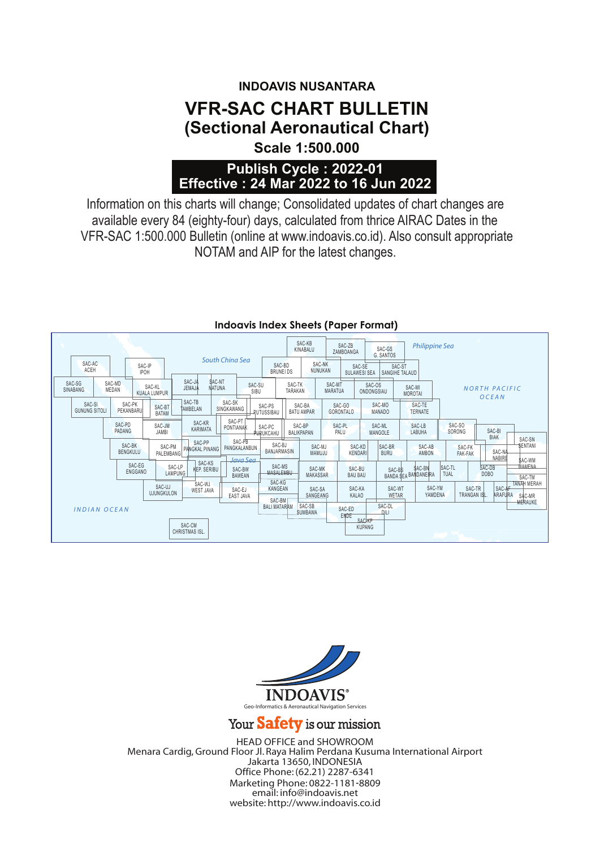## **INDOAVIS NUSANTARA VFR-SAC CHART BULLETIN (Sectional Aeronautical Chart) Scale 1:500.000**

### **Publish Cycle : 2022-01 Effective : 24 Mar 2022 to 16 Jun 2022**

NOTAM and AIP for the latest changes. Information on this charts will change; Consolidated updates of chart changes are available every 84 (eighty-four) days, calculated from thrice AIRAC Dates in the VFR-SAC 1:500.000 Bulletin (online at www.indoavis.co.id). Also consult appropriate

|                                                       |                                                                                     |                                     |                             | SAC-KB<br>KINABALU          | SAC-ZB<br>ZAMBOANGA        | SAC-GS<br>G. SANTOS                               | <b>Philippine Sea</b>                     |                                            |                                                           |
|-------------------------------------------------------|-------------------------------------------------------------------------------------|-------------------------------------|-----------------------------|-----------------------------|----------------------------|---------------------------------------------------|-------------------------------------------|--------------------------------------------|-----------------------------------------------------------|
| SAC-AC<br>SAC-IP<br>ACEH<br><b>IPOH</b>               |                                                                                     | South China Sea                     | SAC-BD<br><b>BRUNEI DS</b>  | SAC-NK<br>NUNUKAN           |                            | SAC-SE<br>SULAWESI SEA                            | SAC-ST<br>SANGIHE TALAUD                  |                                            |                                                           |
| SAC-MD<br>SAC-SG<br>MEDAN<br>SINABANG                 | <b>SAC-NT</b><br>SAC-JA<br>SAC-KL<br><b>NATUNA</b><br>JEMAJA<br><b>KUALA LUMPUR</b> | SAC-SU<br>SIBU                      | SAC-TK<br>TARAKAN           |                             | SAC-MT<br><b>MARATUA</b>   | SAC-OS<br>ONDONGSIAU                              | SAC-MI<br><b>MOROTAI</b>                  |                                            | <b>NORTH PACIFIC</b><br><b>OCEAN</b>                      |
| SAC-SI<br>SAC-PK<br>PEKANBARU<br><b>GUNUNG SITOLI</b> | SAC-TB<br>SAC-BT<br>TAMBELAN<br><b>BATAM</b>                                        | SAC-SK<br>SINGKAWANG                | SAC-PS<br><b>RUTUSSIBAU</b> | SAC-BA<br><b>BATU AMPAR</b> | SAC-GO<br><b>GORONTALO</b> | SAC-MO<br><b>MANADO</b>                           | SAC-TE<br><b>TERNATE</b>                  |                                            |                                                           |
| SAC-PD<br><b>PADANG</b>                               | SAC-KR<br>SAC-JM<br>KARIMATA<br><b>JAMBI</b>                                        | SAC-PT<br>PONTIANAK                 | SAC-PC<br><b>PURUKCAHU</b>  | SAC-BP<br>BALIKPAPAN        | SAC-PL<br>PALU             | SAC-ML<br>MANGOLE                                 | SAC-LB<br>LABUHA                          | SAC-SO<br>SORONG                           | SAC-BI<br><b>BIAK</b><br>SAC-SN                           |
| SAC-BK<br>BENGKULU                                    | SAC-PP<br>SAC-PM<br><b>PANGKAL PINANG</b><br>PALEMBANG                              | SAC-PB<br>PANGKALANBUN              | SAC-BJ<br>BANJARMASIN       | SAC-MJ<br>MAMUJU            |                            | SAC-BR<br>SAC-KD<br><b>KENDARI</b><br><b>BURU</b> | SAC-AB<br><b>AMBON</b>                    | SAC-FK<br><b>FAK-FAK</b>                   | <b>SENTANI</b><br>SAC-NA<br>NABIRE                        |
| SAC-EG<br>ENGGANO                                     | SAC-KS<br>SAC-LP<br>KEP. SERIBU<br><b>LAMPUNG</b>                                   | Java Sea<br>SAC-BW<br><b>BAWEAN</b> | SAC-MS<br>MASALEMBU         | SAC-MK<br>MAKASSAR          | SAC-BU<br><b>BAU BAU</b>   |                                                   | \$AC-BN<br>SAC-BS<br>BANDA SEA BANDANE RA | SAC-TL<br>TUAL                             | \$AC-WM<br>WAMENA<br>SAC-DB<br>DOB <sub>O</sub><br>SAC-TM |
|                                                       | SAC-WJ<br>SAC-UJ<br><b>WEST JAVA</b><br><b>UJUNGKULON</b>                           | SAC-EJ<br>EAST JAVA                 | SAC-KG<br>KANGEAN<br>SAC-BM | SAC-SA<br>SANGEANG          | SAC-KA<br><b>KALAO</b>     |                                                   | SAC-WT<br>WETAR                           | SAC-YM<br>SAC-TR<br>YAMDENA<br>TRANGAN ISL | <b>TANAH MERAH</b><br>SAC-AF<br>ARAFURA<br>SAC-MR         |
| <b>INDIAN OCEAN</b>                                   |                                                                                     |                                     | <b>BALI MATARAM</b>         | SAC-SB<br><b>SUMBAWA</b>    | SAC-ED<br><b>ENDE</b>      | SAC-DL<br>DILI<br><b>SAC-KP</b>                   |                                           |                                            | <b>MERAUKE</b>                                            |
|                                                       | SAC-CM<br>CHRISTMAS ISL.                                                            |                                     |                             |                             |                            | KUPANG                                            |                                           | The Contract of the Contract of            |                                                           |

#### **Indoavis Index Sheets (Paper Format)**



#### Your Safety is our mission

HEAD OFFICE and SHOWROOM Menara Cardig,Ground Floor Jl. Raya Halim Perdana Kusuma International Airport Jakarta 13650, INDONESIA Office Phone: (62.21) 2287-6341 Marketing Phone: 0822-1181-8809 email: info@indoavis.net website: http://www.indoavis.co.id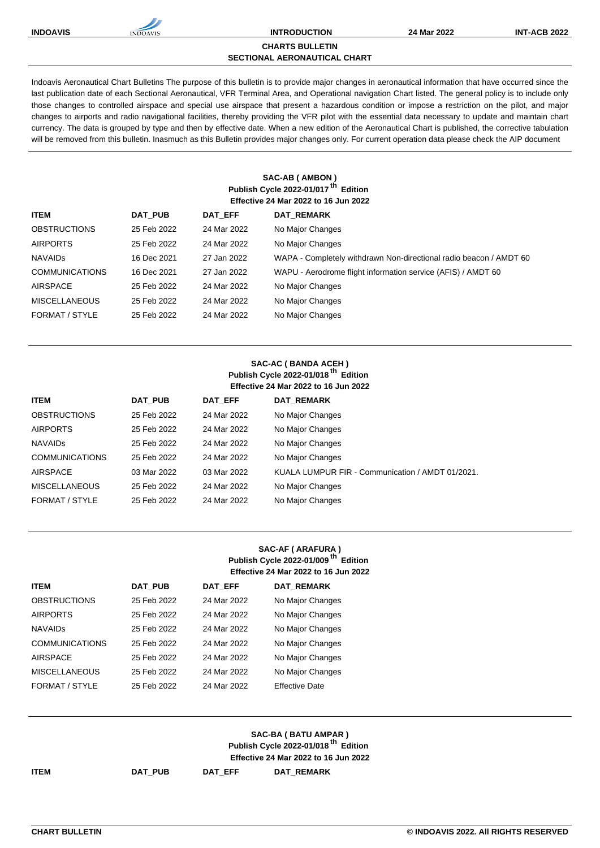

#### **CHARTS BULLETIN**

**SECTIONAL AERONAUTICAL CHART**

Indoavis Aeronautical Chart Bulletins The purpose of this bulletin is to provide major changes in aeronautical information that have occurred since the last publication date of each Sectional Aeronautical, VFR Terminal Area, and Operational navigation Chart listed. The general policy is to include only those changes to controlled airspace and special use airspace that present a hazardous condition or impose a restriction on the pilot, and major changes to airports and radio navigational facilities, thereby providing the VFR pilot with the essential data necessary to update and maintain chart currency. The data is grouped by type and then by effective date. When a new edition of the Aeronautical Chart is published, the corrective tabulation will be removed from this bulletin. Inasmuch as this Bulletin provides major changes only. For current operation data please check the AIP document

#### **SAC-AB ( AMBON ) Publish Cycle 2022-01/017 th Edition Effective 24 Mar 2022 to 16 Jun 2022**

| <b>ITEM</b>           | DAT PUB     | DAT EFF     | <b>DAT REMARK</b>                                                  |
|-----------------------|-------------|-------------|--------------------------------------------------------------------|
| <b>OBSTRUCTIONS</b>   | 25 Feb 2022 | 24 Mar 2022 | No Major Changes                                                   |
| <b>AIRPORTS</b>       | 25 Feb 2022 | 24 Mar 2022 | No Major Changes                                                   |
| <b>NAVAIDS</b>        | 16 Dec 2021 | 27 Jan 2022 | WAPA - Completely withdrawn Non-directional radio beacon / AMDT 60 |
| <b>COMMUNICATIONS</b> | 16 Dec 2021 | 27 Jan 2022 | WAPU - Aerodrome flight information service (AFIS) / AMDT 60       |
| AIRSPACE              | 25 Feb 2022 | 24 Mar 2022 | No Major Changes                                                   |
| <b>MISCELLANEOUS</b>  | 25 Feb 2022 | 24 Mar 2022 | No Major Changes                                                   |
| FORMAT / STYLE        | 25 Feb 2022 | 24 Mar 2022 | No Major Changes                                                   |
|                       |             |             |                                                                    |

#### **SAC-AC ( BANDA ACEH ) Publish Cycle 2022-01/018 th Edition Effective 24 Mar 2022 to 16 Jun 2022**

| <b>ITEM</b>           | <b>DAT PUB</b> | DAT EFF     | <b>DAT REMARK</b>                                |
|-----------------------|----------------|-------------|--------------------------------------------------|
| <b>OBSTRUCTIONS</b>   | 25 Feb 2022    | 24 Mar 2022 | No Major Changes                                 |
| <b>AIRPORTS</b>       | 25 Feb 2022    | 24 Mar 2022 | No Major Changes                                 |
| <b>NAVAIDS</b>        | 25 Feb 2022    | 24 Mar 2022 | No Major Changes                                 |
| <b>COMMUNICATIONS</b> | 25 Feb 2022    | 24 Mar 2022 | No Major Changes                                 |
| <b>AIRSPACE</b>       | 03 Mar 2022    | 03 Mar 2022 | KUALA LUMPUR FIR - Communication / AMDT 01/2021. |
| <b>MISCELLANEOUS</b>  | 25 Feb 2022    | 24 Mar 2022 | No Major Changes                                 |
| FORMAT / STYLE        | 25 Feb 2022    | 24 Mar 2022 | No Major Changes                                 |
|                       |                |             |                                                  |

### **SAC-AF ( ARAFURA ) Publish Cycle 2022-01/009 th Edition Effective 24 Mar 2022 to 16 Jun 2022**

| <b>ITEM</b>           | <b>DAT PUB</b> | <b>DAT EFF</b> | <b>DAT REMARK</b>     |
|-----------------------|----------------|----------------|-----------------------|
| <b>OBSTRUCTIONS</b>   | 25 Feb 2022    | 24 Mar 2022    | No Major Changes      |
| <b>AIRPORTS</b>       | 25 Feb 2022    | 24 Mar 2022    | No Major Changes      |
| <b>NAVAIDS</b>        | 25 Feb 2022    | 24 Mar 2022    | No Major Changes      |
| <b>COMMUNICATIONS</b> | 25 Feb 2022    | 24 Mar 2022    | No Major Changes      |
| <b>AIRSPACE</b>       | 25 Feb 2022    | 24 Mar 2022    | No Major Changes      |
| <b>MISCELLANEOUS</b>  | 25 Feb 2022    | 24 Mar 2022    | No Major Changes      |
| FORMAT / STYLE        | 25 Feb 2022    | 24 Mar 2022    | <b>Effective Date</b> |

|             |         |         | SAC-BA ( BATU AMPAR )<br>Publish Cycle 2022-01/018 <sup>th</sup> Edition |  |
|-------------|---------|---------|--------------------------------------------------------------------------|--|
|             |         |         | <b>Effective 24 Mar 2022 to 16 Jun 2022</b>                              |  |
| <b>ITEM</b> | DAT PUB | DAT EFF | <b>DAT REMARK</b>                                                        |  |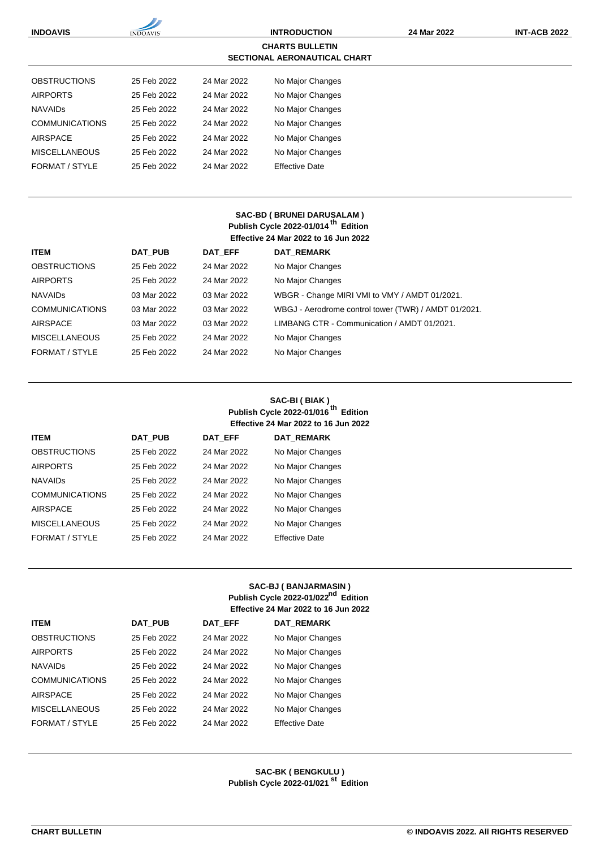| <b>INDOAVIS</b>                                               | <b>INDOAVIS</b> | <b>INTRODUCTION</b> |                       | 24 Mar 2022 | <b>INT-ACB 2022</b> |
|---------------------------------------------------------------|-----------------|---------------------|-----------------------|-------------|---------------------|
| <b>CHARTS BULLETIN</b><br><b>SECTIONAL AERONAUTICAL CHART</b> |                 |                     |                       |             |                     |
| <b>OBSTRUCTIONS</b>                                           | 25 Feb 2022     | 24 Mar 2022         | No Major Changes      |             |                     |
| <b>AIRPORTS</b>                                               | 25 Feb 2022     | 24 Mar 2022         | No Major Changes      |             |                     |
| <b>NAVAIDS</b>                                                | 25 Feb 2022     | 24 Mar 2022         | No Major Changes      |             |                     |
| <b>COMMUNICATIONS</b>                                         | 25 Feb 2022     | 24 Mar 2022         | No Major Changes      |             |                     |
| <b>AIRSPACE</b>                                               | 25 Feb 2022     | 24 Mar 2022         | No Major Changes      |             |                     |
| <b>MISCELLANEOUS</b>                                          | 25 Feb 2022     | 24 Mar 2022         | No Major Changes      |             |                     |
| FORMAT / STYLE                                                | 25 Feb 2022     | 24 Mar 2022         | <b>Effective Date</b> |             |                     |

### **SAC-BD ( BRUNEI DARUSALAM ) Publish Cycle 2022-01/014 th Edition Effective 24 Mar 2022 to 16 Jun 2022**

| <b>ITEM</b>           | <b>DAT PUB</b> | DAT EFF     | <b>DAT REMARK</b>                                    |
|-----------------------|----------------|-------------|------------------------------------------------------|
| <b>OBSTRUCTIONS</b>   | 25 Feb 2022    | 24 Mar 2022 | No Major Changes                                     |
| <b>AIRPORTS</b>       | 25 Feb 2022    | 24 Mar 2022 | No Major Changes                                     |
| <b>NAVAIDS</b>        | 03 Mar 2022    | 03 Mar 2022 | WBGR - Change MIRI VMI to VMY / AMDT 01/2021.        |
| <b>COMMUNICATIONS</b> | 03 Mar 2022    | 03 Mar 2022 | WBGJ - Aerodrome control tower (TWR) / AMDT 01/2021. |
| AIRSPACE              | 03 Mar 2022    | 03 Mar 2022 | LIMBANG CTR - Communication / AMDT 01/2021.          |
| <b>MISCELLANEOUS</b>  | 25 Feb 2022    | 24 Mar 2022 | No Major Changes                                     |
| FORMAT / STYLE        | 25 Feb 2022    | 24 Mar 2022 | No Major Changes                                     |

### **SAC-BI ( BIAK ) Publish Cycle 2022-01/016 th Edition Effective 24 Mar 2022 to 16 Jun 2022**

| <b>ITEM</b>           | <b>DAT PUB</b> | <b>DAT EFF</b> | <b>DAT REMARK</b>     |
|-----------------------|----------------|----------------|-----------------------|
| <b>OBSTRUCTIONS</b>   | 25 Feb 2022    | 24 Mar 2022    | No Major Changes      |
| <b>AIRPORTS</b>       | 25 Feb 2022    | 24 Mar 2022    | No Major Changes      |
| <b>NAVAIDS</b>        | 25 Feb 2022    | 24 Mar 2022    | No Major Changes      |
| <b>COMMUNICATIONS</b> | 25 Feb 2022    | 24 Mar 2022    | No Major Changes      |
| <b>AIRSPACE</b>       | 25 Feb 2022    | 24 Mar 2022    | No Major Changes      |
| <b>MISCELLANEOUS</b>  | 25 Feb 2022    | 24 Mar 2022    | No Major Changes      |
| FORMAT / STYLE        | 25 Feb 2022    | 24 Mar 2022    | <b>Effective Date</b> |

## **SAC-BJ ( BANJARMASIN ) Publish Cycle 2022-01/022nd Edition Effective 24 Mar 2022 to 16 Jun 2022**

| <b>ITEM</b>           | <b>DAT PUB</b> | DAT EFF     | <b>DAT REMARK</b>     |
|-----------------------|----------------|-------------|-----------------------|
| <b>OBSTRUCTIONS</b>   | 25 Feb 2022    | 24 Mar 2022 | No Major Changes      |
| <b>AIRPORTS</b>       | 25 Feb 2022    | 24 Mar 2022 | No Major Changes      |
| <b>NAVAIDS</b>        | 25 Feb 2022    | 24 Mar 2022 | No Major Changes      |
| <b>COMMUNICATIONS</b> | 25 Feb 2022    | 24 Mar 2022 | No Major Changes      |
| <b>AIRSPACE</b>       | 25 Feb 2022    | 24 Mar 2022 | No Major Changes      |
| <b>MISCELLANEOUS</b>  | 25 Feb 2022    | 24 Mar 2022 | No Major Changes      |
| FORMAT / STYLE        | 25 Feb 2022    | 24 Mar 2022 | <b>Effective Date</b> |

# **SAC-BK ( BENGKULU ) Publish Cycle 2022-01/021 st Edition**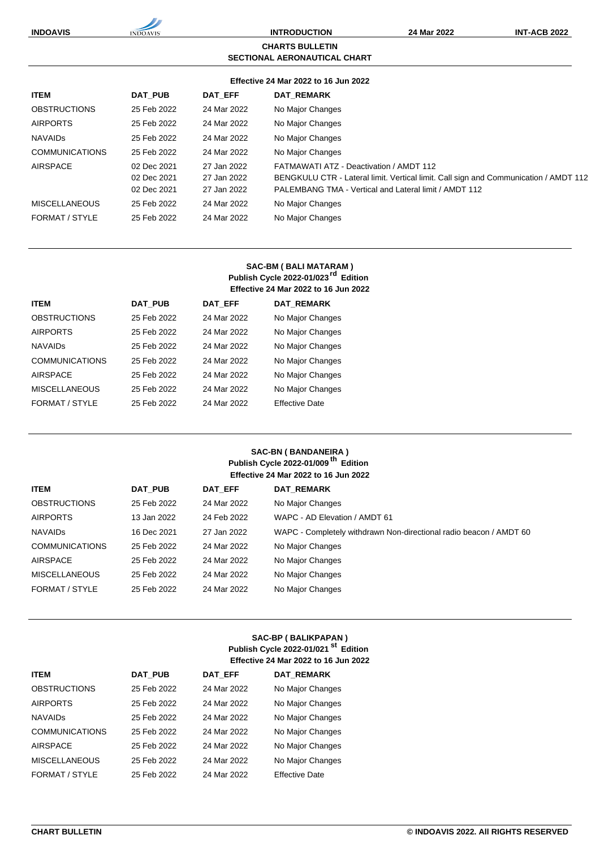**INDOAVIS INTRODUCTION 24 Mar 2022 INT-ACB 2022 CHARTS BULLETIN SECTIONAL AERONAUTICAL CHART Effective 24 Mar 2022 to 16 Jun 2022**

| <b>ITEM</b>           | DAT PUB                                   | DAT EFF                                   | <b>DAT REMARK</b>                                                                                                                                                                        |
|-----------------------|-------------------------------------------|-------------------------------------------|------------------------------------------------------------------------------------------------------------------------------------------------------------------------------------------|
| <b>OBSTRUCTIONS</b>   | 25 Feb 2022                               | 24 Mar 2022                               | No Major Changes                                                                                                                                                                         |
| <b>AIRPORTS</b>       | 25 Feb 2022                               | 24 Mar 2022                               | No Major Changes                                                                                                                                                                         |
| <b>NAVAIDS</b>        | 25 Feb 2022                               | 24 Mar 2022                               | No Major Changes                                                                                                                                                                         |
| <b>COMMUNICATIONS</b> | 25 Feb 2022                               | 24 Mar 2022                               | No Major Changes                                                                                                                                                                         |
| AIRSPACE              | 02 Dec 2021<br>02 Dec 2021<br>02 Dec 2021 | 27 Jan 2022<br>27 Jan 2022<br>27 Jan 2022 | FATMAWATI ATZ - Deactivation / AMDT 112<br>BENGKULU CTR - Lateral limit. Vertical limit. Call sign and Communication / AMDT 112<br>PALEMBANG TMA - Vertical and Lateral limit / AMDT 112 |
| <b>MISCELLANEOUS</b>  | 25 Feb 2022                               | 24 Mar 2022                               | No Major Changes                                                                                                                                                                         |
| FORMAT / STYLE        | 25 Feb 2022                               | 24 Mar 2022                               | No Major Changes                                                                                                                                                                         |
|                       |                                           |                                           |                                                                                                                                                                                          |

## **SAC-BM ( BALI MATARAM ) Publish Cycle 2022-01/023rd Edition Effective 24 Mar 2022 to 16 Jun 2022**

| <b>ITEM</b>           | <b>DAT PUB</b> | <b>DAT EFF</b> | <b>DAT REMARK</b>     |
|-----------------------|----------------|----------------|-----------------------|
| <b>OBSTRUCTIONS</b>   | 25 Feb 2022    | 24 Mar 2022    | No Major Changes      |
| <b>AIRPORTS</b>       | 25 Feb 2022    | 24 Mar 2022    | No Major Changes      |
| <b>NAVAIDS</b>        | 25 Feb 2022    | 24 Mar 2022    | No Major Changes      |
| <b>COMMUNICATIONS</b> | 25 Feb 2022    | 24 Mar 2022    | No Major Changes      |
| <b>AIRSPACE</b>       | 25 Feb 2022    | 24 Mar 2022    | No Major Changes      |
| <b>MISCELLANEOUS</b>  | 25 Feb 2022    | 24 Mar 2022    | No Major Changes      |
| FORMAT / STYLE        | 25 Feb 2022    | 24 Mar 2022    | <b>Effective Date</b> |

## **SAC-BN ( BANDANEIRA ) Publish Cycle 2022-01/009 th Edition Effective 24 Mar 2022 to 16 Jun 2022**

| <b>ITEM</b>           | DAT PUB     | DAT EFF     | <b>DAT REMARK</b>                                                  |
|-----------------------|-------------|-------------|--------------------------------------------------------------------|
| <b>OBSTRUCTIONS</b>   | 25 Feb 2022 | 24 Mar 2022 | No Major Changes                                                   |
| <b>AIRPORTS</b>       | 13 Jan 2022 | 24 Feb 2022 | WAPC - AD Elevation / AMDT 61                                      |
| <b>NAVAIDS</b>        | 16 Dec 2021 | 27 Jan 2022 | WAPC - Completely withdrawn Non-directional radio beacon / AMDT 60 |
| <b>COMMUNICATIONS</b> | 25 Feb 2022 | 24 Mar 2022 | No Major Changes                                                   |
| AIRSPACE              | 25 Feb 2022 | 24 Mar 2022 | No Major Changes                                                   |
| <b>MISCELLANEOUS</b>  | 25 Feb 2022 | 24 Mar 2022 | No Major Changes                                                   |
| FORMAT / STYLE        | 25 Feb 2022 | 24 Mar 2022 | No Major Changes                                                   |

## **SAC-BP ( BALIKPAPAN ) Publish Cycle 2022-01/021 st Edition Effective 24 Mar 2022 to 16 Jun 2022**

| <b>ITEM</b>           | <b>DAT PUB</b> | <b>DAT EFF</b> | <b>DAT REMARK</b>     |
|-----------------------|----------------|----------------|-----------------------|
| <b>OBSTRUCTIONS</b>   | 25 Feb 2022    | 24 Mar 2022    | No Major Changes      |
| <b>AIRPORTS</b>       | 25 Feb 2022    | 24 Mar 2022    | No Major Changes      |
| <b>NAVAIDS</b>        | 25 Feb 2022    | 24 Mar 2022    | No Major Changes      |
| <b>COMMUNICATIONS</b> | 25 Feb 2022    | 24 Mar 2022    | No Major Changes      |
| <b>AIRSPACE</b>       | 25 Feb 2022    | 24 Mar 2022    | No Major Changes      |
| <b>MISCELLANEOUS</b>  | 25 Feb 2022    | 24 Mar 2022    | No Major Changes      |
| FORMAT / STYLE        | 25 Feb 2022    | 24 Mar 2022    | <b>Effective Date</b> |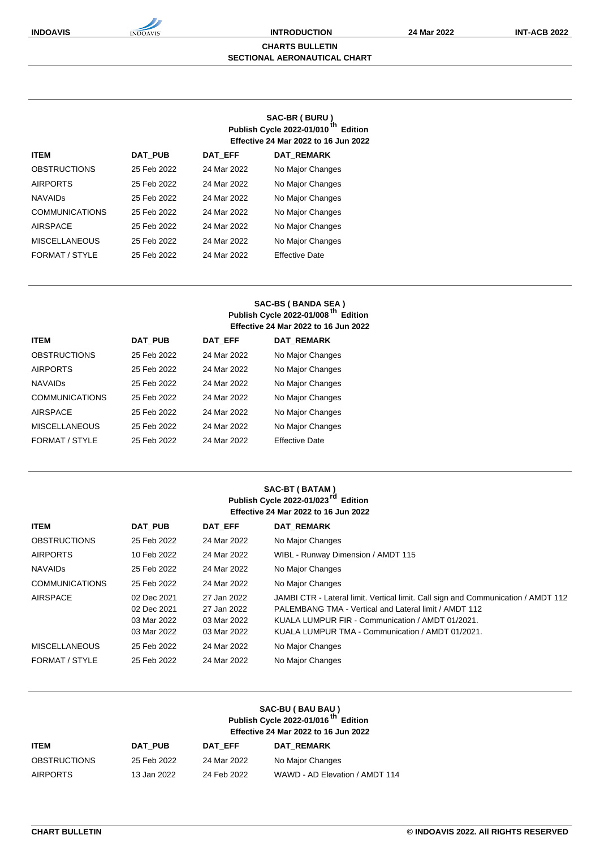#### **CHARTS BULLETIN SECTIONAL AERONAUTICAL CHART**

## **SAC-BR ( BURU ) Publish Cycle 2022-01/010 th Edition Effective 24 Mar 2022 to 16 Jun 2022**

| <b>ITEM</b>           | <b>DAT PUB</b> | <b>DAT EFF</b> | <b>DAT REMARK</b>     |
|-----------------------|----------------|----------------|-----------------------|
| <b>OBSTRUCTIONS</b>   | 25 Feb 2022    | 24 Mar 2022    | No Major Changes      |
| <b>AIRPORTS</b>       | 25 Feb 2022    | 24 Mar 2022    | No Major Changes      |
| <b>NAVAIDS</b>        | 25 Feb 2022    | 24 Mar 2022    | No Major Changes      |
| <b>COMMUNICATIONS</b> | 25 Feb 2022    | 24 Mar 2022    | No Major Changes      |
| <b>AIRSPACE</b>       | 25 Feb 2022    | 24 Mar 2022    | No Major Changes      |
| <b>MISCELLANEOUS</b>  | 25 Feb 2022    | 24 Mar 2022    | No Major Changes      |
| FORMAT / STYLE        | 25 Feb 2022    | 24 Mar 2022    | <b>Effective Date</b> |

## **SAC-BS ( BANDA SEA ) Publish Cycle 2022-01/008 th Edition Effective 24 Mar 2022 to 16 Jun 2022**

| <b>ITEM</b>           | <b>DAT PUB</b> | <b>DAT EFF</b> | <b>DAT REMARK</b>     |
|-----------------------|----------------|----------------|-----------------------|
| <b>OBSTRUCTIONS</b>   | 25 Feb 2022    | 24 Mar 2022    | No Major Changes      |
| <b>AIRPORTS</b>       | 25 Feb 2022    | 24 Mar 2022    | No Major Changes      |
| <b>NAVAIDS</b>        | 25 Feb 2022    | 24 Mar 2022    | No Major Changes      |
| <b>COMMUNICATIONS</b> | 25 Feb 2022    | 24 Mar 2022    | No Major Changes      |
| <b>AIRSPACE</b>       | 25 Feb 2022    | 24 Mar 2022    | No Major Changes      |
| <b>MISCELLANEOUS</b>  | 25 Feb 2022    | 24 Mar 2022    | No Major Changes      |
| FORMAT / STYLE        | 25 Feb 2022    | 24 Mar 2022    | <b>Effective Date</b> |

#### **SAC-BT ( BATAM ) Publish Cycle 2022-01/023rd Edition Effective 24 Mar 2022 to 16 Jun 2022**

| <b>ITEM</b>           | <b>DAT PUB</b> | DAT EFF     | <b>DAT REMARK</b>                                                                 |
|-----------------------|----------------|-------------|-----------------------------------------------------------------------------------|
| <b>OBSTRUCTIONS</b>   | 25 Feb 2022    | 24 Mar 2022 | No Major Changes                                                                  |
| <b>AIRPORTS</b>       | 10 Feb 2022    | 24 Mar 2022 | WIBL - Runway Dimension / AMDT 115                                                |
| <b>NAVAIDS</b>        | 25 Feb 2022    | 24 Mar 2022 | No Major Changes                                                                  |
| <b>COMMUNICATIONS</b> | 25 Feb 2022    | 24 Mar 2022 | No Major Changes                                                                  |
| <b>AIRSPACE</b>       | 02 Dec 2021    | 27 Jan 2022 | JAMBI CTR - Lateral limit. Vertical limit. Call sign and Communication / AMDT 112 |
|                       | 02 Dec 2021    | 27 Jan 2022 | PALEMBANG TMA - Vertical and Lateral limit / AMDT 112                             |
|                       | 03 Mar 2022    | 03 Mar 2022 | KUALA LUMPUR FIR - Communication / AMDT 01/2021.                                  |
|                       | 03 Mar 2022    | 03 Mar 2022 | KUALA LUMPUR TMA - Communication / AMDT 01/2021.                                  |
| <b>MISCELLANEOUS</b>  | 25 Feb 2022    | 24 Mar 2022 | No Major Changes                                                                  |
| FORMAT / STYLE        | 25 Feb 2022    | 24 Mar 2022 | No Major Changes                                                                  |

## **SAC-BU ( BAU BAU ) Publish Cycle 2022-01/016 th Edition Effective 24 Mar 2022 to 16 Jun 2022**

| <b>ITEM</b>         | DAT PUB     | <b>DAT EFF</b> | <b>DAT REMARK</b>              |
|---------------------|-------------|----------------|--------------------------------|
| <b>OBSTRUCTIONS</b> | 25 Feb 2022 | 24 Mar 2022    | No Major Changes               |
| <b>AIRPORTS</b>     | 13 Jan 2022 | 24 Feb 2022    | WAWD - AD Elevation / AMDT 114 |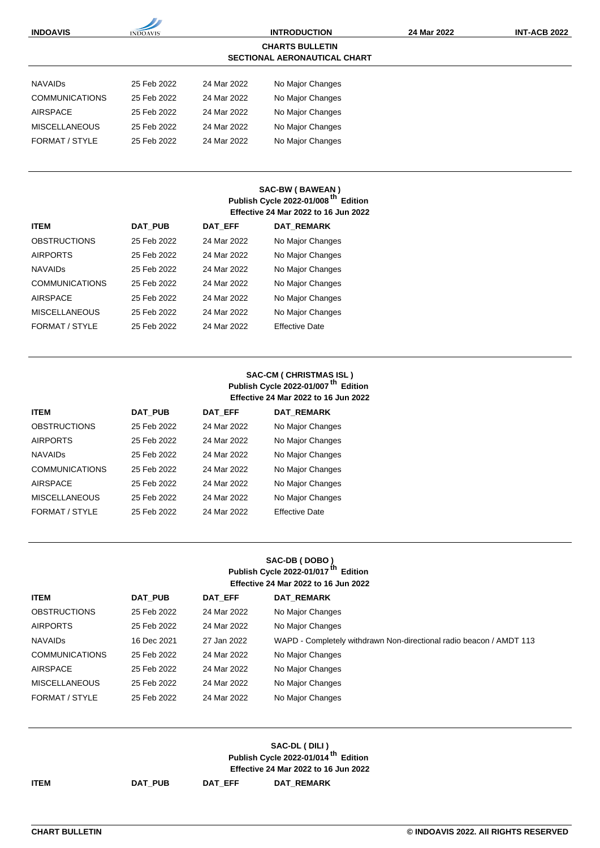| <b>INDOAVIS</b>       |                 |             | <b>INTRODUCTION</b>                                           | 24 Mar 2022 | <b>INT-ACB 2022</b> |
|-----------------------|-----------------|-------------|---------------------------------------------------------------|-------------|---------------------|
|                       | <b>INDOAVIS</b> |             |                                                               |             |                     |
|                       |                 |             | <b>CHARTS BULLETIN</b><br><b>SECTIONAL AERONAUTICAL CHART</b> |             |                     |
|                       |                 |             |                                                               |             |                     |
| <b>NAVAIDS</b>        | 25 Feb 2022     | 24 Mar 2022 | No Major Changes                                              |             |                     |
| <b>COMMUNICATIONS</b> | 25 Feb 2022     | 24 Mar 2022 | No Major Changes                                              |             |                     |
| <b>AIRSPACE</b>       | 25 Feb 2022     | 24 Mar 2022 | No Major Changes                                              |             |                     |
| <b>MISCELLANEOUS</b>  | 25 Feb 2022     | 24 Mar 2022 | No Major Changes                                              |             |                     |
| FORMAT / STYLE        | 25 Feb 2022     | 24 Mar 2022 | No Major Changes                                              |             |                     |
|                       |                 |             |                                                               |             |                     |
|                       |                 |             |                                                               |             |                     |
|                       |                 |             | <b>SAC-BW (BAWEAN)</b>                                        |             |                     |
|                       |                 |             | Publish Cycle 2022-01/008 <sup>th</sup> Edition               |             |                     |
|                       |                 |             | Effective 24 Mar 2022 to 16 Jun 2022                          |             |                     |
| <b>ITEM</b>           | <b>DAT PUB</b>  | DAT EFF     | <b>DAT REMARK</b>                                             |             |                     |
| <b>OBSTRUCTIONS</b>   | 25 Feb 2022     | 24 Mar 2022 | No Major Changes                                              |             |                     |
| <b>AIRPORTS</b>       | 25 Feb 2022     | 24 Mar 2022 | No Major Changes                                              |             |                     |
| <b>NAVAIDS</b>        | 25 Feb 2022     | 24 Mar 2022 | No Major Changes                                              |             |                     |
| <b>COMMUNICATIONS</b> | 25 Feb 2022     | 24 Mar 2022 | No Major Changes                                              |             |                     |
| <b>AIRSPACE</b>       | 25 Feb 2022     | 24 Mar 2022 | No Major Changes                                              |             |                     |
| <b>MISCELLANEOUS</b>  | 25 Feb 2022     | 24 Mar 2022 | No Major Changes                                              |             |                     |
| FORMAT / STYLE        | 25 Feb 2022     | 24 Mar 2022 | <b>Effective Date</b>                                         |             |                     |

## **SAC-CM ( CHRISTMAS ISL ) Publish Cycle 2022-01/007 th Edition Effective 24 Mar 2022 to 16 Jun 2022**

| <b>ITEM</b>           | <b>DAT PUB</b> | <b>DAT EFF</b> | <b>DAT REMARK</b>     |
|-----------------------|----------------|----------------|-----------------------|
| <b>OBSTRUCTIONS</b>   | 25 Feb 2022    | 24 Mar 2022    | No Major Changes      |
| <b>AIRPORTS</b>       | 25 Feb 2022    | 24 Mar 2022    | No Major Changes      |
| <b>NAVAIDS</b>        | 25 Feb 2022    | 24 Mar 2022    | No Major Changes      |
| <b>COMMUNICATIONS</b> | 25 Feb 2022    | 24 Mar 2022    | No Major Changes      |
| <b>AIRSPACE</b>       | 25 Feb 2022    | 24 Mar 2022    | No Major Changes      |
| <b>MISCELLANEOUS</b>  | 25 Feb 2022    | 24 Mar 2022    | No Major Changes      |
| FORMAT / STYLE        | 25 Feb 2022    | 24 Mar 2022    | <b>Effective Date</b> |

### **SAC-DB ( DOBO ) Publish Cycle 2022-01/017 th Edition Effective 24 Mar 2022 to 16 Jun 2022**

| <b>ITEM</b>           | DAT PUB     | DAT EFF     | <b>DAT REMARK</b>                                                   |
|-----------------------|-------------|-------------|---------------------------------------------------------------------|
| <b>OBSTRUCTIONS</b>   | 25 Feb 2022 | 24 Mar 2022 | No Major Changes                                                    |
| <b>AIRPORTS</b>       | 25 Feb 2022 | 24 Mar 2022 | No Major Changes                                                    |
| <b>NAVAIDS</b>        | 16 Dec 2021 | 27 Jan 2022 | WAPD - Completely withdrawn Non-directional radio beacon / AMDT 113 |
| <b>COMMUNICATIONS</b> | 25 Feb 2022 | 24 Mar 2022 | No Major Changes                                                    |
| <b>AIRSPACE</b>       | 25 Feb 2022 | 24 Mar 2022 | No Major Changes                                                    |
| <b>MISCELLANEOUS</b>  | 25 Feb 2022 | 24 Mar 2022 | No Major Changes                                                    |
| FORMAT / STYLE        | 25 Feb 2022 | 24 Mar 2022 | No Major Changes                                                    |

| SAC-DL (DILI)                                   |
|-------------------------------------------------|
| Publish Cycle 2022-01/014 <sup>th</sup> Edition |
| <b>Effective 24 Mar 2022 to 16 Jun 2022</b>     |
|                                                 |

**ITEM DAT\_PUB DAT\_EFF DAT\_REMARK**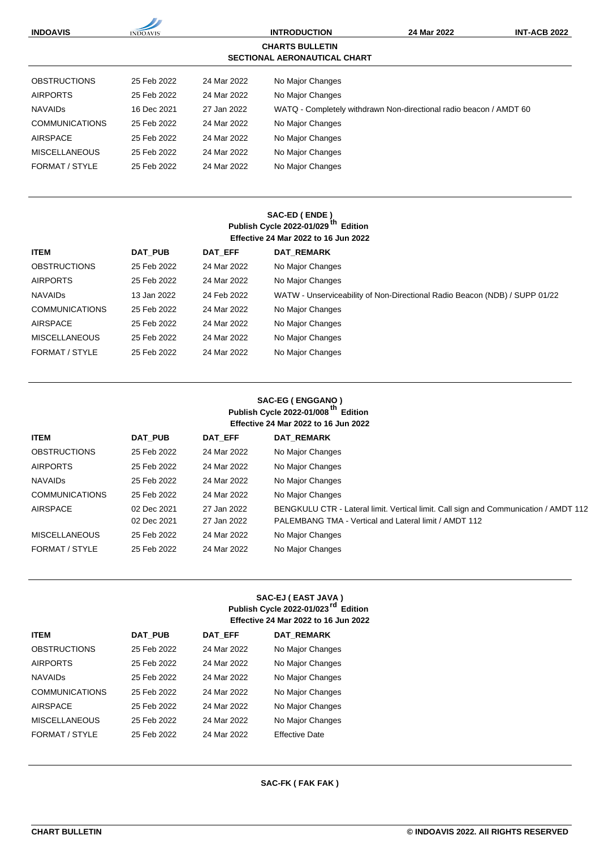| <b>INDOAVIS</b>       | <b>INDOAVIS</b> |             | <b>INTRODUCTION</b><br><b>CHARTS BULLETIN</b><br><b>SECTIONAL AERONAUTICAL CHART</b> | 24 Mar 2022                                                        | <b>INT-ACB 2022</b> |
|-----------------------|-----------------|-------------|--------------------------------------------------------------------------------------|--------------------------------------------------------------------|---------------------|
| <b>OBSTRUCTIONS</b>   | 25 Feb 2022     | 24 Mar 2022 | No Major Changes                                                                     |                                                                    |                     |
| <b>AIRPORTS</b>       | 25 Feb 2022     | 24 Mar 2022 | No Major Changes                                                                     |                                                                    |                     |
| <b>NAVAIDS</b>        | 16 Dec 2021     | 27 Jan 2022 |                                                                                      | WATQ - Completely withdrawn Non-directional radio beacon / AMDT 60 |                     |
| <b>COMMUNICATIONS</b> | 25 Feb 2022     | 24 Mar 2022 | No Major Changes                                                                     |                                                                    |                     |
| <b>AIRSPACE</b>       | 25 Feb 2022     | 24 Mar 2022 | No Major Changes                                                                     |                                                                    |                     |
| <b>MISCELLANEOUS</b>  | 25 Feb 2022     | 24 Mar 2022 | No Major Changes                                                                     |                                                                    |                     |
| FORMAT / STYLE        | 25 Feb 2022     | 24 Mar 2022 | No Major Changes                                                                     |                                                                    |                     |

### **SAC-ED ( ENDE ) Publish Cycle 2022-01/029 th Edition Effective 24 Mar 2022 to 16 Jun 2022**

| <b>ITEM</b>           | DAT PUB     | DAT EFF     | <b>DAT REMARK</b>                                                          |
|-----------------------|-------------|-------------|----------------------------------------------------------------------------|
| <b>OBSTRUCTIONS</b>   | 25 Feb 2022 | 24 Mar 2022 | No Major Changes                                                           |
| <b>AIRPORTS</b>       | 25 Feb 2022 | 24 Mar 2022 | No Major Changes                                                           |
| <b>NAVAIDS</b>        | 13 Jan 2022 | 24 Feb 2022 | WATW - Unserviceability of Non-Directional Radio Beacon (NDB) / SUPP 01/22 |
| <b>COMMUNICATIONS</b> | 25 Feb 2022 | 24 Mar 2022 | No Major Changes                                                           |
| <b>AIRSPACE</b>       | 25 Feb 2022 | 24 Mar 2022 | No Major Changes                                                           |
| <b>MISCELLANEOUS</b>  | 25 Feb 2022 | 24 Mar 2022 | No Major Changes                                                           |
| FORMAT / STYLE        | 25 Feb 2022 | 24 Mar 2022 | No Major Changes                                                           |

### **SAC-EG ( ENGGANO ) Publish Cycle 2022-01/008 th Edition Effective 24 Mar 2022 to 16 Jun 2022**

| <b>ITEM</b>           | DAT PUB     | DAT EFF     | <b>DAT REMARK</b>                                                                    |
|-----------------------|-------------|-------------|--------------------------------------------------------------------------------------|
| <b>OBSTRUCTIONS</b>   | 25 Feb 2022 | 24 Mar 2022 | No Major Changes                                                                     |
| <b>AIRPORTS</b>       | 25 Feb 2022 | 24 Mar 2022 | No Major Changes                                                                     |
| <b>NAVAIDS</b>        | 25 Feb 2022 | 24 Mar 2022 | No Major Changes                                                                     |
| <b>COMMUNICATIONS</b> | 25 Feb 2022 | 24 Mar 2022 | No Major Changes                                                                     |
| <b>AIRSPACE</b>       | 02 Dec 2021 | 27 Jan 2022 | BENGKULU CTR - Lateral limit. Vertical limit. Call sign and Communication / AMDT 112 |
|                       | 02 Dec 2021 | 27 Jan 2022 | PALEMBANG TMA - Vertical and Lateral limit / AMDT 112                                |
| <b>MISCELLANEOUS</b>  | 25 Feb 2022 | 24 Mar 2022 | No Major Changes                                                                     |
| FORMAT / STYLE        | 25 Feb 2022 | 24 Mar 2022 | No Major Changes                                                                     |
|                       |             |             |                                                                                      |

## **SAC-EJ ( EAST JAVA ) Publish Cycle 2022-01/023rd Edition Effective 24 Mar 2022 to 16 Jun 2022**

| <b>ITEM</b>           | <b>DAT PUB</b> | <b>DAT EFF</b> | <b>DAT REMARK</b>     |
|-----------------------|----------------|----------------|-----------------------|
| <b>OBSTRUCTIONS</b>   | 25 Feb 2022    | 24 Mar 2022    | No Major Changes      |
| <b>AIRPORTS</b>       | 25 Feb 2022    | 24 Mar 2022    | No Major Changes      |
| <b>NAVAIDS</b>        | 25 Feb 2022    | 24 Mar 2022    | No Major Changes      |
| <b>COMMUNICATIONS</b> | 25 Feb 2022    | 24 Mar 2022    | No Major Changes      |
| <b>AIRSPACE</b>       | 25 Feb 2022    | 24 Mar 2022    | No Major Changes      |
| <b>MISCELLANEOUS</b>  | 25 Feb 2022    | 24 Mar 2022    | No Major Changes      |
| FORMAT / STYLE        | 25 Feb 2022    | 24 Mar 2022    | <b>Effective Date</b> |

#### **SAC-FK ( FAK FAK )**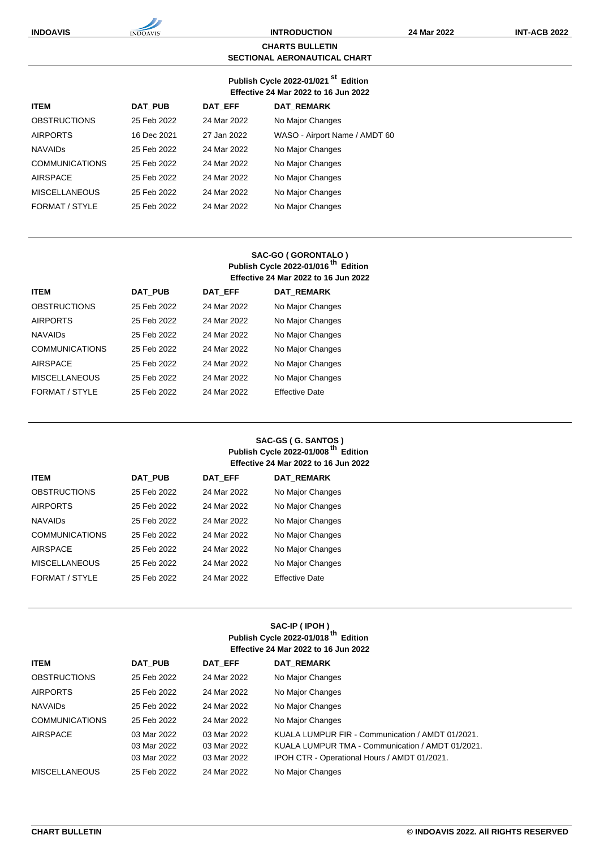#### **CHARTS BULLETIN SECTIONAL AERONAUTICAL CHART**

#### **Publish Cycle 2022-01/021 st Edition Effective 24 Mar 2022 to 16 Jun 2022**

| <b>ITEM</b>           | <b>DAT PUB</b> | DAT EFF     | <b>DAT REMARK</b>             |
|-----------------------|----------------|-------------|-------------------------------|
| <b>OBSTRUCTIONS</b>   | 25 Feb 2022    | 24 Mar 2022 | No Major Changes              |
| <b>AIRPORTS</b>       | 16 Dec 2021    | 27 Jan 2022 | WASO - Airport Name / AMDT 60 |
| <b>NAVAIDS</b>        | 25 Feb 2022    | 24 Mar 2022 | No Major Changes              |
| <b>COMMUNICATIONS</b> | 25 Feb 2022    | 24 Mar 2022 | No Major Changes              |
| <b>AIRSPACE</b>       | 25 Feb 2022    | 24 Mar 2022 | No Major Changes              |
| <b>MISCELLANEOUS</b>  | 25 Feb 2022    | 24 Mar 2022 | No Major Changes              |
| FORMAT / STYLE        | 25 Feb 2022    | 24 Mar 2022 | No Major Changes              |
|                       |                |             |                               |

#### **SAC-GO ( GORONTALO ) Publish Cycle 2022-01/016 th Edition Effective 24 Mar 2022 to 16 Jun 2022**

| <b>ITEM</b>           | <b>DAT PUB</b> | <b>DAT EFF</b> | <b>DAT REMARK</b>     |
|-----------------------|----------------|----------------|-----------------------|
| <b>OBSTRUCTIONS</b>   | 25 Feb 2022    | 24 Mar 2022    | No Major Changes      |
| <b>AIRPORTS</b>       | 25 Feb 2022    | 24 Mar 2022    | No Major Changes      |
| <b>NAVAIDS</b>        | 25 Feb 2022    | 24 Mar 2022    | No Major Changes      |
| <b>COMMUNICATIONS</b> | 25 Feb 2022    | 24 Mar 2022    | No Major Changes      |
| <b>AIRSPACE</b>       | 25 Feb 2022    | 24 Mar 2022    | No Major Changes      |
| <b>MISCELLANEOUS</b>  | 25 Feb 2022    | 24 Mar 2022    | No Major Changes      |
| FORMAT / STYLE        | 25 Feb 2022    | 24 Mar 2022    | <b>Effective Date</b> |

## **SAC-GS ( G. SANTOS ) Publish Cycle 2022-01/008 th Edition Effective 24 Mar 2022 to 16 Jun 2022**

| <b>ITEM</b>           | <b>DAT PUB</b> | <b>DAT EFF</b> | <b>DAT REMARK</b>     |
|-----------------------|----------------|----------------|-----------------------|
| <b>OBSTRUCTIONS</b>   | 25 Feb 2022    | 24 Mar 2022    | No Major Changes      |
| <b>AIRPORTS</b>       | 25 Feb 2022    | 24 Mar 2022    | No Major Changes      |
| <b>NAVAIDS</b>        | 25 Feb 2022    | 24 Mar 2022    | No Major Changes      |
| <b>COMMUNICATIONS</b> | 25 Feb 2022    | 24 Mar 2022    | No Major Changes      |
| <b>AIRSPACE</b>       | 25 Feb 2022    | 24 Mar 2022    | No Major Changes      |
| <b>MISCELLANEOUS</b>  | 25 Feb 2022    | 24 Mar 2022    | No Major Changes      |
| FORMAT / STYLE        | 25 Feb 2022    | 24 Mar 2022    | <b>Effective Date</b> |

#### **SAC-IP ( IPOH ) Publish Cycle 2022-01/018 th Edition Effective 24 Mar 2022 to 16 Jun 2022**

| <b>ITEM</b>           | <b>DAT PUB</b>                            | DAT EFF                                   | <b>DAT REMARK</b>                                                                                                                                    |
|-----------------------|-------------------------------------------|-------------------------------------------|------------------------------------------------------------------------------------------------------------------------------------------------------|
| <b>OBSTRUCTIONS</b>   | 25 Feb 2022                               | 24 Mar 2022                               | No Major Changes                                                                                                                                     |
| <b>AIRPORTS</b>       | 25 Feb 2022                               | 24 Mar 2022                               | No Major Changes                                                                                                                                     |
| <b>NAVAIDS</b>        | 25 Feb 2022                               | 24 Mar 2022                               | No Major Changes                                                                                                                                     |
| <b>COMMUNICATIONS</b> | 25 Feb 2022                               | 24 Mar 2022                               | No Major Changes                                                                                                                                     |
| <b>AIRSPACE</b>       | 03 Mar 2022<br>03 Mar 2022<br>03 Mar 2022 | 03 Mar 2022<br>03 Mar 2022<br>03 Mar 2022 | KUALA LUMPUR FIR - Communication / AMDT 01/2021.<br>KUALA LUMPUR TMA - Communication / AMDT 01/2021.<br>IPOH CTR - Operational Hours / AMDT 01/2021. |
| <b>MISCELLANEOUS</b>  | 25 Feb 2022                               | 24 Mar 2022                               | No Major Changes                                                                                                                                     |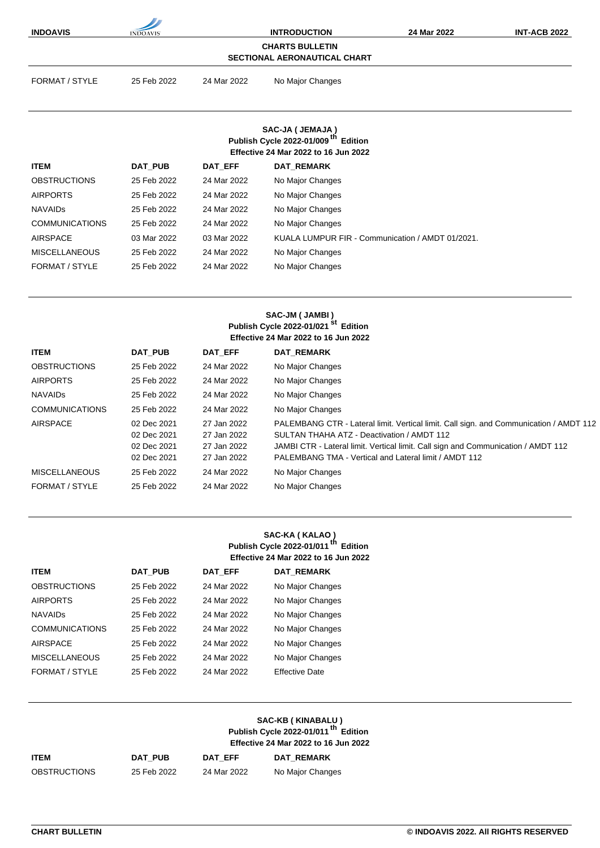| <b>INDOAVIS</b>                        | <b>INDOAVIS</b> |             | <b>INTRODUCTION</b>                                                                            | 24 Mar 2022                                                                            | <b>INT-ACB 2022</b> |
|----------------------------------------|-----------------|-------------|------------------------------------------------------------------------------------------------|----------------------------------------------------------------------------------------|---------------------|
|                                        |                 |             | <b>CHARTS BULLETIN</b><br><b>SECTIONAL AERONAUTICAL CHART</b>                                  |                                                                                        |                     |
|                                        |                 |             |                                                                                                |                                                                                        |                     |
| <b>FORMAT / STYLE</b>                  | 25 Feb 2022     | 24 Mar 2022 | No Major Changes                                                                               |                                                                                        |                     |
|                                        |                 |             |                                                                                                |                                                                                        |                     |
|                                        |                 |             | SAC-JA ( JEMAJA )                                                                              |                                                                                        |                     |
|                                        |                 |             | Publish Cycle 2022-01/009 <sup>th</sup> Edition<br><b>Effective 24 Mar 2022 to 16 Jun 2022</b> |                                                                                        |                     |
|                                        |                 |             |                                                                                                |                                                                                        |                     |
| <b>ITEM</b>                            | DAT_PUB         | DAT_EFF     | DAT_REMARK                                                                                     |                                                                                        |                     |
| <b>OBSTRUCTIONS</b><br><b>AIRPORTS</b> | 25 Feb 2022     | 24 Mar 2022 | No Major Changes                                                                               |                                                                                        |                     |
|                                        | 25 Feb 2022     | 24 Mar 2022 | No Major Changes                                                                               |                                                                                        |                     |
| <b>NAVAIDS</b>                         | 25 Feb 2022     | 24 Mar 2022 | No Major Changes                                                                               |                                                                                        |                     |
| <b>COMMUNICATIONS</b>                  | 25 Feb 2022     | 24 Mar 2022 | No Major Changes                                                                               |                                                                                        |                     |
| <b>AIRSPACE</b>                        | 03 Mar 2022     | 03 Mar 2022 |                                                                                                | KUALA LUMPUR FIR - Communication / AMDT 01/2021.                                       |                     |
| <b>MISCELLANEOUS</b>                   | 25 Feb 2022     | 24 Mar 2022 | No Major Changes                                                                               |                                                                                        |                     |
| FORMAT / STYLE                         | 25 Feb 2022     | 24 Mar 2022 | No Major Changes                                                                               |                                                                                        |                     |
|                                        |                 |             | SAC-JM (JAMBI)<br>Publish Cycle 2022-01/021 <sup>st</sup> Edition                              |                                                                                        |                     |
|                                        |                 |             | Effective 24 Mar 2022 to 16 Jun 2022                                                           |                                                                                        |                     |
| <b>ITEM</b>                            | DAT_PUB         | DAT_EFF     | <b>DAT_REMARK</b>                                                                              |                                                                                        |                     |
| <b>OBSTRUCTIONS</b>                    | 25 Feb 2022     | 24 Mar 2022 | No Major Changes                                                                               |                                                                                        |                     |
| <b>AIRPORTS</b>                        | 25 Feb 2022     | 24 Mar 2022 | No Major Changes                                                                               |                                                                                        |                     |
| <b>NAVAIDS</b>                         | 25 Feb 2022     | 24 Mar 2022 | No Major Changes                                                                               |                                                                                        |                     |
| <b>COMMUNICATIONS</b>                  | 25 Feb 2022     | 24 Mar 2022 | No Major Changes                                                                               |                                                                                        |                     |
| <b>AIRSPACE</b>                        | 02 Dec 2021     | 27 Jan 2022 |                                                                                                | PALEMBANG CTR - Lateral limit. Vertical limit. Call sign. and Communication / AMDT 112 |                     |

|                      | 02 Dec 2021 | 27 Jan 2022 | SULTAN THAHA ATZ - Deactivation / AMDT 112                                        |
|----------------------|-------------|-------------|-----------------------------------------------------------------------------------|
|                      | 02 Dec 2021 | 27 Jan 2022 | JAMBI CTR - Lateral limit. Vertical limit. Call sign and Communication / AMDT 112 |
|                      | 02 Dec 2021 | 27 Jan 2022 | PALEMBANG TMA - Vertical and Lateral limit / AMDT 112                             |
| <b>MISCELLANEOUS</b> | 25 Feb 2022 | 24 Mar 2022 | No Major Changes                                                                  |
| FORMAT / STYLE       | 25 Feb 2022 | 24 Mar 2022 | No Major Changes                                                                  |
|                      |             |             |                                                                                   |
|                      |             |             |                                                                                   |

### **SAC-KA ( KALAO ) Publish Cycle 2022-01/011 th Edition Effective 24 Mar 2022 to 16 Jun 2022**

| <b>DAT PUB</b> | <b>DAT EFF</b> | <b>DAT REMARK</b>     |
|----------------|----------------|-----------------------|
| 25 Feb 2022    | 24 Mar 2022    | No Major Changes      |
| 25 Feb 2022    | 24 Mar 2022    | No Major Changes      |
| 25 Feb 2022    | 24 Mar 2022    | No Major Changes      |
| 25 Feb 2022    | 24 Mar 2022    | No Major Changes      |
| 25 Feb 2022    | 24 Mar 2022    | No Major Changes      |
| 25 Feb 2022    | 24 Mar 2022    | No Major Changes      |
| 25 Feb 2022    | 24 Mar 2022    | <b>Effective Date</b> |
|                |                |                       |

|                     |             | SAC-KB (KINABALU)<br>Publish Cycle 2022-01/011 <sup>th</sup> Edition<br><b>Effective 24 Mar 2022 to 16 Jun 2022</b> |                   |  |
|---------------------|-------------|---------------------------------------------------------------------------------------------------------------------|-------------------|--|
| <b>ITEM</b>         | DAT PUB     | DAT EFF                                                                                                             | <b>DAT REMARK</b> |  |
| <b>OBSTRUCTIONS</b> | 25 Feb 2022 | 24 Mar 2022                                                                                                         | No Major Changes  |  |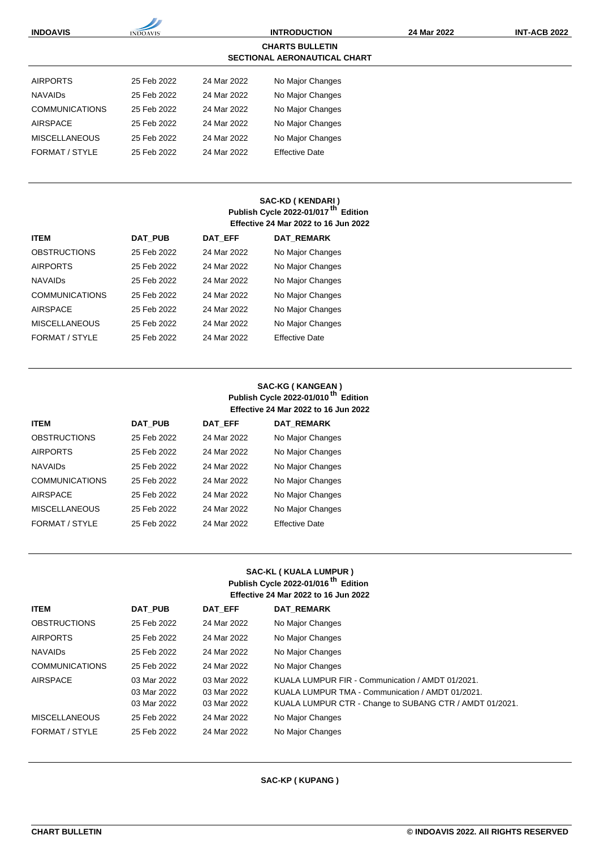| <b>INDOAVIS</b>       | <b>INDOAVIS</b> | <b>INTRODUCTION</b> |                                                               | 24 Mar 2022 | <b>INT-ACB 2022</b> |
|-----------------------|-----------------|---------------------|---------------------------------------------------------------|-------------|---------------------|
|                       |                 |                     | <b>CHARTS BULLETIN</b><br><b>SECTIONAL AERONAUTICAL CHART</b> |             |                     |
| <b>AIRPORTS</b>       | 25 Feb 2022     | 24 Mar 2022         | No Major Changes                                              |             |                     |
| <b>NAVAIDS</b>        | 25 Feb 2022     | 24 Mar 2022         | No Major Changes                                              |             |                     |
| <b>COMMUNICATIONS</b> | 25 Feb 2022     | 24 Mar 2022         | No Major Changes                                              |             |                     |
| <b>AIRSPACE</b>       | 25 Feb 2022     | 24 Mar 2022         | No Major Changes                                              |             |                     |
| <b>MISCELLANEOUS</b>  | 25 Feb 2022     | 24 Mar 2022         | No Major Changes                                              |             |                     |
| FORMAT / STYLE        | 25 Feb 2022     | 24 Mar 2022         | <b>Effective Date</b>                                         |             |                     |

## **SAC-KD ( KENDARI ) Publish Cycle 2022-01/017 th Edition Effective 24 Mar 2022 to 16 Jun 2022**

| <b>ITEM</b>           | <b>DAT PUB</b> | DAT EFF     | <b>DAT REMARK</b>     |
|-----------------------|----------------|-------------|-----------------------|
| <b>OBSTRUCTIONS</b>   | 25 Feb 2022    | 24 Mar 2022 | No Major Changes      |
| <b>AIRPORTS</b>       | 25 Feb 2022    | 24 Mar 2022 | No Major Changes      |
| <b>NAVAIDS</b>        | 25 Feb 2022    | 24 Mar 2022 | No Major Changes      |
| <b>COMMUNICATIONS</b> | 25 Feb 2022    | 24 Mar 2022 | No Major Changes      |
| <b>AIRSPACE</b>       | 25 Feb 2022    | 24 Mar 2022 | No Major Changes      |
| <b>MISCELLANEOUS</b>  | 25 Feb 2022    | 24 Mar 2022 | No Major Changes      |
| FORMAT / STYLE        | 25 Feb 2022    | 24 Mar 2022 | <b>Effective Date</b> |

## **SAC-KG ( KANGEAN ) Publish Cycle 2022-01/010 th Edition Effective 24 Mar 2022 to 16 Jun 2022**

| <b>ITEM</b>           | <b>DAT PUB</b> | DAT EFF     | <b>DAT REMARK</b>     |
|-----------------------|----------------|-------------|-----------------------|
| <b>OBSTRUCTIONS</b>   | 25 Feb 2022    | 24 Mar 2022 | No Major Changes      |
| <b>AIRPORTS</b>       | 25 Feb 2022    | 24 Mar 2022 | No Major Changes      |
| <b>NAVAIDS</b>        | 25 Feb 2022    | 24 Mar 2022 | No Major Changes      |
| <b>COMMUNICATIONS</b> | 25 Feb 2022    | 24 Mar 2022 | No Major Changes      |
| <b>AIRSPACE</b>       | 25 Feb 2022    | 24 Mar 2022 | No Major Changes      |
| <b>MISCELLANEOUS</b>  | 25 Feb 2022    | 24 Mar 2022 | No Major Changes      |
| FORMAT / STYLE        | 25 Feb 2022    | 24 Mar 2022 | <b>Effective Date</b> |

## **SAC-KL ( KUALA LUMPUR ) Publish Cycle 2022-01/016 th Edition Effective 24 Mar 2022 to 16 Jun 2022**

| <b>ITEM</b>           | DAT PUB                                   | DAT EFF                                   | <b>DAT REMARK</b>                                                                                                                                               |
|-----------------------|-------------------------------------------|-------------------------------------------|-----------------------------------------------------------------------------------------------------------------------------------------------------------------|
| <b>OBSTRUCTIONS</b>   | 25 Feb 2022                               | 24 Mar 2022                               | No Major Changes                                                                                                                                                |
| <b>AIRPORTS</b>       | 25 Feb 2022                               | 24 Mar 2022                               | No Major Changes                                                                                                                                                |
| <b>NAVAIDS</b>        | 25 Feb 2022                               | 24 Mar 2022                               | No Major Changes                                                                                                                                                |
| <b>COMMUNICATIONS</b> | 25 Feb 2022                               | 24 Mar 2022                               | No Major Changes                                                                                                                                                |
| <b>AIRSPACE</b>       | 03 Mar 2022<br>03 Mar 2022<br>03 Mar 2022 | 03 Mar 2022<br>03 Mar 2022<br>03 Mar 2022 | KUALA LUMPUR FIR - Communication / AMDT 01/2021.<br>KUALA LUMPUR TMA - Communication / AMDT 01/2021.<br>KUALA LUMPUR CTR - Change to SUBANG CTR / AMDT 01/2021. |
| <b>MISCELLANEOUS</b>  | 25 Feb 2022                               | 24 Mar 2022                               | No Major Changes                                                                                                                                                |
| FORMAT / STYLE        | 25 Feb 2022                               | 24 Mar 2022                               | No Major Changes                                                                                                                                                |

#### **SAC-KP ( KUPANG )**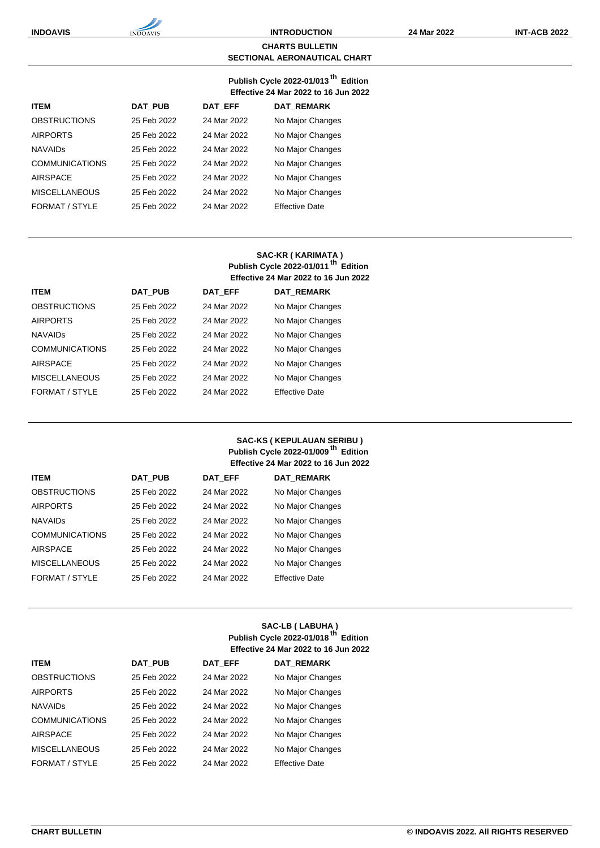#### **CHARTS BULLETIN SECTIONAL AERONAUTICAL CHART**

#### **Publish Cycle 2022-01/013 th Edition Effective 24 Mar 2022 to 16 Jun 2022**

| <b>ITEM</b>           | <b>DAT PUB</b> | <b>DAT EFF</b> | <b>DAT REMARK</b>     |
|-----------------------|----------------|----------------|-----------------------|
| <b>OBSTRUCTIONS</b>   | 25 Feb 2022    | 24 Mar 2022    | No Major Changes      |
| <b>AIRPORTS</b>       | 25 Feb 2022    | 24 Mar 2022    | No Major Changes      |
| <b>NAVAIDS</b>        | 25 Feb 2022    | 24 Mar 2022    | No Major Changes      |
| <b>COMMUNICATIONS</b> | 25 Feb 2022    | 24 Mar 2022    | No Major Changes      |
| AIRSPACE              | 25 Feb 2022    | 24 Mar 2022    | No Major Changes      |
| <b>MISCELLANEOUS</b>  | 25 Feb 2022    | 24 Mar 2022    | No Major Changes      |
| FORMAT / STYLE        | 25 Feb 2022    | 24 Mar 2022    | <b>Effective Date</b> |

### **SAC-KR ( KARIMATA ) Publish Cycle 2022-01/011 th Edition Effective 24 Mar 2022 to 16 Jun 2022**

| <b>ITEM</b>           | <b>DAT PUB</b> | <b>DAT EFF</b> | <b>DAT REMARK</b>     |
|-----------------------|----------------|----------------|-----------------------|
| <b>OBSTRUCTIONS</b>   | 25 Feb 2022    | 24 Mar 2022    | No Major Changes      |
| <b>AIRPORTS</b>       | 25 Feb 2022    | 24 Mar 2022    | No Major Changes      |
| <b>NAVAIDS</b>        | 25 Feb 2022    | 24 Mar 2022    | No Major Changes      |
| <b>COMMUNICATIONS</b> | 25 Feb 2022    | 24 Mar 2022    | No Major Changes      |
| <b>AIRSPACE</b>       | 25 Feb 2022    | 24 Mar 2022    | No Major Changes      |
| <b>MISCELLANEOUS</b>  | 25 Feb 2022    | 24 Mar 2022    | No Major Changes      |
| FORMAT / STYLE        | 25 Feb 2022    | 24 Mar 2022    | <b>Effective Date</b> |

## **SAC-KS ( KEPULAUAN SERIBU ) Publish Cycle 2022-01/009 th Edition Effective 24 Mar 2022 to 16 Jun 2022**

| <b>ITEM</b>           | DAT PUB     | <b>DAT EFF</b> | <b>DAT REMARK</b>     |
|-----------------------|-------------|----------------|-----------------------|
| <b>OBSTRUCTIONS</b>   | 25 Feb 2022 | 24 Mar 2022    | No Major Changes      |
| <b>AIRPORTS</b>       | 25 Feb 2022 | 24 Mar 2022    | No Major Changes      |
| <b>NAVAIDS</b>        | 25 Feb 2022 | 24 Mar 2022    | No Major Changes      |
| <b>COMMUNICATIONS</b> | 25 Feb 2022 | 24 Mar 2022    | No Major Changes      |
| AIRSPACE              | 25 Feb 2022 | 24 Mar 2022    | No Major Changes      |
| <b>MISCELLANEOUS</b>  | 25 Feb 2022 | 24 Mar 2022    | No Major Changes      |
| FORMAT / STYLE        | 25 Feb 2022 | 24 Mar 2022    | <b>Effective Date</b> |

### **SAC-LB ( LABUHA ) Publish Cycle 2022-01/018 th Edition Effective 24 Mar 2022 to 16 Jun 2022**

| <b>ITEM</b>           | <b>DAT PUB</b> | <b>DAT EFF</b> | <b>DAT REMARK</b>     |
|-----------------------|----------------|----------------|-----------------------|
| <b>OBSTRUCTIONS</b>   | 25 Feb 2022    | 24 Mar 2022    | No Major Changes      |
| <b>AIRPORTS</b>       | 25 Feb 2022    | 24 Mar 2022    | No Major Changes      |
| <b>NAVAIDS</b>        | 25 Feb 2022    | 24 Mar 2022    | No Major Changes      |
| <b>COMMUNICATIONS</b> | 25 Feb 2022    | 24 Mar 2022    | No Major Changes      |
| <b>AIRSPACE</b>       | 25 Feb 2022    | 24 Mar 2022    | No Major Changes      |
| <b>MISCELLANEOUS</b>  | 25 Feb 2022    | 24 Mar 2022    | No Major Changes      |
| FORMAT / STYLE        | 25 Feb 2022    | 24 Mar 2022    | <b>Effective Date</b> |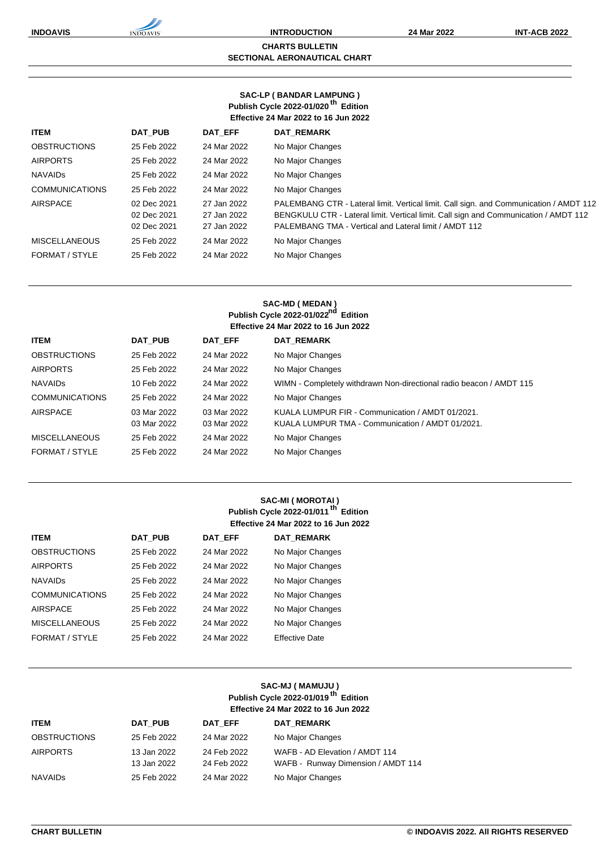#### **CHARTS BULLETIN SECTIONAL AERONAUTICAL CHART**

#### **SAC-LP ( BANDAR LAMPUNG ) Publish Cycle 2022-01/020 th Edition Effective 24 Mar 2022 to 16 Jun 2022**

| <b>ITEM</b>           | <b>DAT PUB</b>                            | DAT EFF                                   | <b>DAT REMARK</b>                                                                                                                                                                                                                       |
|-----------------------|-------------------------------------------|-------------------------------------------|-----------------------------------------------------------------------------------------------------------------------------------------------------------------------------------------------------------------------------------------|
| <b>OBSTRUCTIONS</b>   | 25 Feb 2022                               | 24 Mar 2022                               | No Major Changes                                                                                                                                                                                                                        |
| <b>AIRPORTS</b>       | 25 Feb 2022                               | 24 Mar 2022                               | No Major Changes                                                                                                                                                                                                                        |
| <b>NAVAIDS</b>        | 25 Feb 2022                               | 24 Mar 2022                               | No Major Changes                                                                                                                                                                                                                        |
| <b>COMMUNICATIONS</b> | 25 Feb 2022                               | 24 Mar 2022                               | No Major Changes                                                                                                                                                                                                                        |
| <b>AIRSPACE</b>       | 02 Dec 2021<br>02 Dec 2021<br>02 Dec 2021 | 27 Jan 2022<br>27 Jan 2022<br>27 Jan 2022 | PALEMBANG CTR - Lateral limit. Vertical limit. Call sign. and Communication / AMDT 112<br>BENGKULU CTR - Lateral limit. Vertical limit. Call sign and Communication / AMDT 112<br>PALEMBANG TMA - Vertical and Lateral limit / AMDT 112 |
| <b>MISCELLANEOUS</b>  | 25 Feb 2022                               | 24 Mar 2022                               | No Major Changes                                                                                                                                                                                                                        |
| FORMAT / STYLE        | 25 Feb 2022                               | 24 Mar 2022                               | No Major Changes                                                                                                                                                                                                                        |
|                       |                                           |                                           |                                                                                                                                                                                                                                         |

### **SAC-MD ( MEDAN ) Publish Cycle 2022-01/022nd Edition Effective 24 Mar 2022 to 16 Jun 2022**

|                       | Ellective 24 Mai 2022 to 10 Juli 2022 |             |                                                                     |  |  |  |
|-----------------------|---------------------------------------|-------------|---------------------------------------------------------------------|--|--|--|
| <b>ITEM</b>           | DAT PUB                               | DAT EFF     | <b>DAT REMARK</b>                                                   |  |  |  |
| <b>OBSTRUCTIONS</b>   | 25 Feb 2022                           | 24 Mar 2022 | No Major Changes                                                    |  |  |  |
| <b>AIRPORTS</b>       | 25 Feb 2022                           | 24 Mar 2022 | No Major Changes                                                    |  |  |  |
| <b>NAVAIDS</b>        | 10 Feb 2022                           | 24 Mar 2022 | WIMN - Completely withdrawn Non-directional radio beacon / AMDT 115 |  |  |  |
| <b>COMMUNICATIONS</b> | 25 Feb 2022                           | 24 Mar 2022 | No Major Changes                                                    |  |  |  |
| AIRSPACE              | 03 Mar 2022                           | 03 Mar 2022 | KUALA LUMPUR FIR - Communication / AMDT 01/2021.                    |  |  |  |
|                       | 03 Mar 2022                           | 03 Mar 2022 | KUALA LUMPUR TMA - Communication / AMDT 01/2021.                    |  |  |  |
| <b>MISCELLANEOUS</b>  | 25 Feb 2022                           | 24 Mar 2022 | No Major Changes                                                    |  |  |  |
| FORMAT / STYLE        | 25 Feb 2022                           | 24 Mar 2022 | No Major Changes                                                    |  |  |  |
|                       |                                       |             |                                                                     |  |  |  |

#### **SAC-MI ( MOROTAI ) Publish Cycle 2022-01/011 th Edition Effective 24 Mar 2022 to 16 Jun 2022**

| <b>ITEM</b>           | <b>DAT PUB</b> | DAT EFF     | <b>DAT REMARK</b>     |
|-----------------------|----------------|-------------|-----------------------|
| <b>OBSTRUCTIONS</b>   | 25 Feb 2022    | 24 Mar 2022 | No Major Changes      |
| <b>AIRPORTS</b>       | 25 Feb 2022    | 24 Mar 2022 | No Major Changes      |
| <b>NAVAIDS</b>        | 25 Feb 2022    | 24 Mar 2022 | No Major Changes      |
| <b>COMMUNICATIONS</b> | 25 Feb 2022    | 24 Mar 2022 | No Major Changes      |
| <b>AIRSPACE</b>       | 25 Feb 2022    | 24 Mar 2022 | No Major Changes      |
| <b>MISCELLANEOUS</b>  | 25 Feb 2022    | 24 Mar 2022 | No Major Changes      |
| FORMAT / STYLE        | 25 Feb 2022    | 24 Mar 2022 | <b>Effective Date</b> |

## **SAC-MJ ( MAMUJU ) Publish Cycle 2022-01/019 th Edition Effective 24 Mar 2022 to 16 Jun 2022**

| <b>ITEM</b>         | DAT PUB                    | DAT EFF                    | DAT REMARK                                                           |
|---------------------|----------------------------|----------------------------|----------------------------------------------------------------------|
| <b>OBSTRUCTIONS</b> | 25 Feb 2022                | 24 Mar 2022                | No Major Changes                                                     |
| <b>AIRPORTS</b>     | 13 Jan 2022<br>13 Jan 2022 | 24 Feb 2022<br>24 Feb 2022 | WAFB - AD Elevation / AMDT 114<br>WAFB - Runway Dimension / AMDT 114 |
| NAVAIDs             | 25 Feb 2022                | 24 Mar 2022                | No Major Changes                                                     |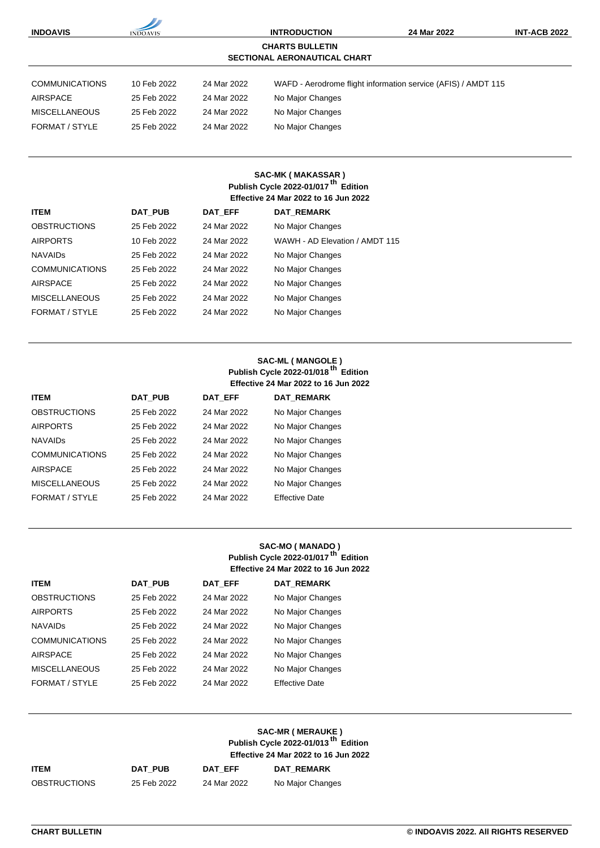| <b>INDOAVIS</b>                                               | <b>INDOAVIS</b> |             | <b>INTRODUCTION</b> | 24 Mar 2022                                                   | <b>INT-ACB 2022</b> |  |
|---------------------------------------------------------------|-----------------|-------------|---------------------|---------------------------------------------------------------|---------------------|--|
| <b>CHARTS BULLETIN</b><br><b>SECTIONAL AERONAUTICAL CHART</b> |                 |             |                     |                                                               |                     |  |
| <b>COMMUNICATIONS</b>                                         | 10 Feb 2022     | 24 Mar 2022 |                     | WAFD - Aerodrome flight information service (AFIS) / AMDT 115 |                     |  |
|                                                               |                 |             |                     |                                                               |                     |  |
| <b>AIRSPACE</b>                                               | 25 Feb 2022     | 24 Mar 2022 | No Major Changes    |                                                               |                     |  |
| <b>MISCELLANEOUS</b>                                          | 25 Feb 2022     | 24 Mar 2022 | No Major Changes    |                                                               |                     |  |
| FORMAT / STYLE                                                | 25 Feb 2022     | 24 Mar 2022 | No Major Changes    |                                                               |                     |  |
|                                                               |                 |             |                     |                                                               |                     |  |
|                                                               |                 |             |                     |                                                               |                     |  |

## **SAC-MK ( MAKASSAR ) Publish Cycle 2022-01/017 th Edition Effective 24 Mar 2022 to 16 Jun 2022**

| <b>ITEM</b>           | DAT PUB     | DAT EFF     | <b>DAT REMARK</b>              |
|-----------------------|-------------|-------------|--------------------------------|
| <b>OBSTRUCTIONS</b>   | 25 Feb 2022 | 24 Mar 2022 | No Major Changes               |
| <b>AIRPORTS</b>       | 10 Feb 2022 | 24 Mar 2022 | WAWH - AD Elevation / AMDT 115 |
| <b>NAVAIDS</b>        | 25 Feb 2022 | 24 Mar 2022 | No Major Changes               |
| <b>COMMUNICATIONS</b> | 25 Feb 2022 | 24 Mar 2022 | No Major Changes               |
| <b>AIRSPACE</b>       | 25 Feb 2022 | 24 Mar 2022 | No Major Changes               |
| <b>MISCELLANEOUS</b>  | 25 Feb 2022 | 24 Mar 2022 | No Major Changes               |
| FORMAT / STYLE        | 25 Feb 2022 | 24 Mar 2022 | No Major Changes               |
|                       |             |             |                                |

#### **SAC-ML ( MANGOLE ) Publish Cycle 2022-01/018 th Edition Effective 24 Mar 2022 to 16 Jun 2022**

| <b>ITEM</b>           | <b>DAT PUB</b> | DAT EFF     | <b>DAT REMARK</b>     |
|-----------------------|----------------|-------------|-----------------------|
| <b>OBSTRUCTIONS</b>   | 25 Feb 2022    | 24 Mar 2022 | No Major Changes      |
| <b>AIRPORTS</b>       | 25 Feb 2022    | 24 Mar 2022 | No Major Changes      |
| <b>NAVAIDS</b>        | 25 Feb 2022    | 24 Mar 2022 | No Major Changes      |
| <b>COMMUNICATIONS</b> | 25 Feb 2022    | 24 Mar 2022 | No Major Changes      |
| <b>AIRSPACE</b>       | 25 Feb 2022    | 24 Mar 2022 | No Major Changes      |
| <b>MISCELLANEOUS</b>  | 25 Feb 2022    | 24 Mar 2022 | No Major Changes      |
| FORMAT / STYLE        | 25 Feb 2022    | 24 Mar 2022 | <b>Effective Date</b> |

### **SAC-MO ( MANADO ) Publish Cycle 2022-01/017 th Edition Effective 24 Mar 2022 to 16 Jun 2022**

| <b>ITEM</b>           | <b>DAT PUB</b> | <b>DAT EFF</b> | <b>DAT REMARK</b>     |
|-----------------------|----------------|----------------|-----------------------|
| <b>OBSTRUCTIONS</b>   | 25 Feb 2022    | 24 Mar 2022    | No Major Changes      |
| <b>AIRPORTS</b>       | 25 Feb 2022    | 24 Mar 2022    | No Major Changes      |
| <b>NAVAIDS</b>        | 25 Feb 2022    | 24 Mar 2022    | No Major Changes      |
| <b>COMMUNICATIONS</b> | 25 Feb 2022    | 24 Mar 2022    | No Major Changes      |
| AIRSPACE              | 25 Feb 2022    | 24 Mar 2022    | No Major Changes      |
| <b>MISCELLANEOUS</b>  | 25 Feb 2022    | 24 Mar 2022    | No Major Changes      |
| FORMAT / STYLE        | 25 Feb 2022    | 24 Mar 2022    | <b>Effective Date</b> |

|                     |             | SAC-MR (MERAUKE)<br>Publish Cycle 2022-01/013 <sup>th</sup> Edition<br><b>Effective 24 Mar 2022 to 16 Jun 2022</b> |                   |
|---------------------|-------------|--------------------------------------------------------------------------------------------------------------------|-------------------|
| <b>ITEM</b>         | DAT PUB     | DAT EFF                                                                                                            | <b>DAT REMARK</b> |
| <b>OBSTRUCTIONS</b> | 25 Feb 2022 | 24 Mar 2022                                                                                                        | No Major Changes  |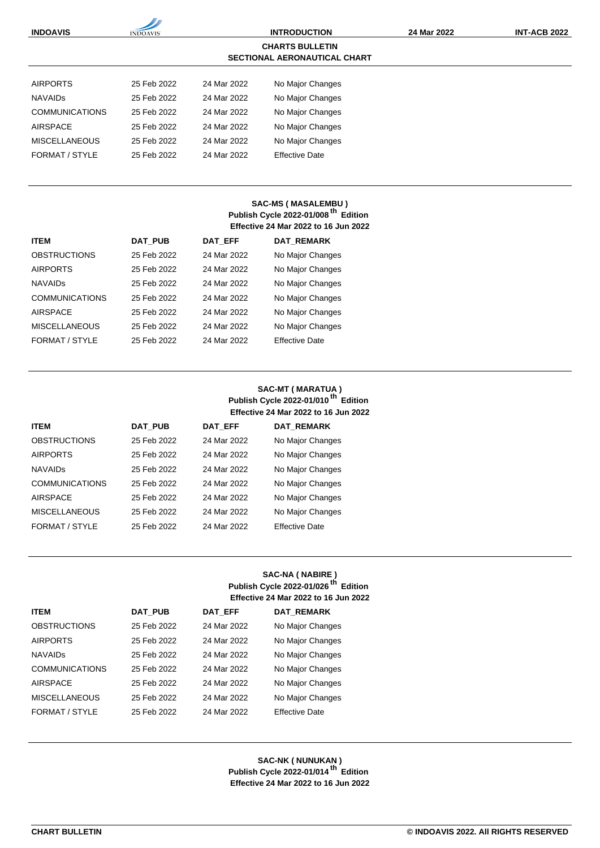| <b>INDOAVIS</b>                                               | <b>INDOAVIS</b> |             | <b>INTRODUCTION</b>   | 24 Mar 2022 | <b>INT-ACB 2022</b> |
|---------------------------------------------------------------|-----------------|-------------|-----------------------|-------------|---------------------|
| <b>CHARTS BULLETIN</b><br><b>SECTIONAL AERONAUTICAL CHART</b> |                 |             |                       |             |                     |
| <b>AIRPORTS</b>                                               | 25 Feb 2022     | 24 Mar 2022 | No Major Changes      |             |                     |
| <b>NAVAIDS</b>                                                | 25 Feb 2022     | 24 Mar 2022 | No Major Changes      |             |                     |
| <b>COMMUNICATIONS</b>                                         | 25 Feb 2022     | 24 Mar 2022 | No Major Changes      |             |                     |
| <b>AIRSPACE</b>                                               | 25 Feb 2022     | 24 Mar 2022 | No Major Changes      |             |                     |
| <b>MISCELLANEOUS</b>                                          | 25 Feb 2022     | 24 Mar 2022 | No Major Changes      |             |                     |
| FORMAT / STYLE                                                | 25 Feb 2022     | 24 Mar 2022 | <b>Effective Date</b> |             |                     |

### **SAC-MS ( MASALEMBU ) Publish Cycle 2022-01/008 th Edition Effective 24 Mar 2022 to 16 Jun 2022**

| <b>ITEM</b>           | <b>DAT PUB</b> | <b>DAT EFF</b> | <b>DAT REMARK</b>     |
|-----------------------|----------------|----------------|-----------------------|
| <b>OBSTRUCTIONS</b>   | 25 Feb 2022    | 24 Mar 2022    | No Major Changes      |
| <b>AIRPORTS</b>       | 25 Feb 2022    | 24 Mar 2022    | No Major Changes      |
| <b>NAVAIDS</b>        | 25 Feb 2022    | 24 Mar 2022    | No Major Changes      |
| <b>COMMUNICATIONS</b> | 25 Feb 2022    | 24 Mar 2022    | No Major Changes      |
| <b>AIRSPACE</b>       | 25 Feb 2022    | 24 Mar 2022    | No Major Changes      |
| <b>MISCELLANEOUS</b>  | 25 Feb 2022    | 24 Mar 2022    | No Major Changes      |
| FORMAT / STYLE        | 25 Feb 2022    | 24 Mar 2022    | <b>Effective Date</b> |

## **SAC-MT ( MARATUA ) Publish Cycle 2022-01/010 th Edition Effective 24 Mar 2022 to 16 Jun 2022**

| <b>ITEM</b>           | <b>DAT PUB</b> | DAT EFF     | <b>DAT REMARK</b>     |
|-----------------------|----------------|-------------|-----------------------|
| <b>OBSTRUCTIONS</b>   | 25 Feb 2022    | 24 Mar 2022 | No Major Changes      |
| <b>AIRPORTS</b>       | 25 Feb 2022    | 24 Mar 2022 | No Major Changes      |
| <b>NAVAIDS</b>        | 25 Feb 2022    | 24 Mar 2022 | No Major Changes      |
| <b>COMMUNICATIONS</b> | 25 Feb 2022    | 24 Mar 2022 | No Major Changes      |
| <b>AIRSPACE</b>       | 25 Feb 2022    | 24 Mar 2022 | No Major Changes      |
| <b>MISCELLANEOUS</b>  | 25 Feb 2022    | 24 Mar 2022 | No Major Changes      |
| FORMAT / STYLE        | 25 Feb 2022    | 24 Mar 2022 | <b>Effective Date</b> |

### **SAC-NA ( NABIRE ) Publish Cycle 2022-01/026 th Edition Effective 24 Mar 2022 to 16 Jun 2022**

| <b>ITEM</b>           | <b>DAT PUB</b> | DAT EFF     | <b>DAT REMARK</b>     |
|-----------------------|----------------|-------------|-----------------------|
| <b>OBSTRUCTIONS</b>   | 25 Feb 2022    | 24 Mar 2022 | No Major Changes      |
| <b>AIRPORTS</b>       | 25 Feb 2022    | 24 Mar 2022 | No Major Changes      |
| <b>NAVAIDS</b>        | 25 Feb 2022    | 24 Mar 2022 | No Major Changes      |
| <b>COMMUNICATIONS</b> | 25 Feb 2022    | 24 Mar 2022 | No Major Changes      |
| <b>AIRSPACE</b>       | 25 Feb 2022    | 24 Mar 2022 | No Major Changes      |
| <b>MISCELLANEOUS</b>  | 25 Feb 2022    | 24 Mar 2022 | No Major Changes      |
| FORMAT / STYLE        | 25 Feb 2022    | 24 Mar 2022 | <b>Effective Date</b> |

**SAC-NK ( NUNUKAN ) Publish Cycle 2022-01/014 th Edition Effective 24 Mar 2022 to 16 Jun 2022**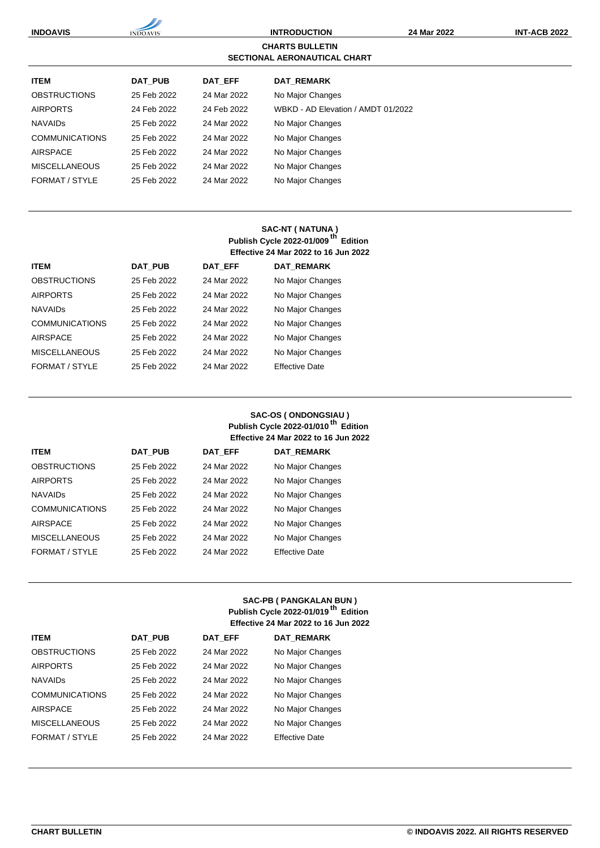| <b>INDOAVIS</b>       | <b>INDOAVIS</b>                                               |             | <b>INTRODUCTION</b>                | 24 Mar 2022 | <b>INT-ACB 2022</b> |  |  |
|-----------------------|---------------------------------------------------------------|-------------|------------------------------------|-------------|---------------------|--|--|
|                       | <b>CHARTS BULLETIN</b><br><b>SECTIONAL AERONAUTICAL CHART</b> |             |                                    |             |                     |  |  |
| <b>ITEM</b>           | <b>DAT PUB</b>                                                | DAT EFF     | <b>DAT REMARK</b>                  |             |                     |  |  |
| <b>OBSTRUCTIONS</b>   | 25 Feb 2022                                                   | 24 Mar 2022 | No Major Changes                   |             |                     |  |  |
| <b>AIRPORTS</b>       | 24 Feb 2022                                                   | 24 Feb 2022 | WBKD - AD Elevation / AMDT 01/2022 |             |                     |  |  |
| <b>NAVAIDS</b>        | 25 Feb 2022                                                   | 24 Mar 2022 | No Major Changes                   |             |                     |  |  |
| <b>COMMUNICATIONS</b> | 25 Feb 2022                                                   | 24 Mar 2022 | No Major Changes                   |             |                     |  |  |
| <b>AIRSPACE</b>       | 25 Feb 2022                                                   | 24 Mar 2022 | No Major Changes                   |             |                     |  |  |
| <b>MISCELLANEOUS</b>  | 25 Feb 2022                                                   | 24 Mar 2022 | No Major Changes                   |             |                     |  |  |
| FORMAT / STYLE        | 25 Feb 2022                                                   | 24 Mar 2022 | No Major Changes                   |             |                     |  |  |

## **SAC-NT ( NATUNA ) Publish Cycle 2022-01/009 th Edition Effective 24 Mar 2022 to 16 Jun 2022**

| <b>ITEM</b>           | <b>DAT PUB</b> | DAT_EFF     | <b>DAT REMARK</b>     |
|-----------------------|----------------|-------------|-----------------------|
| <b>OBSTRUCTIONS</b>   | 25 Feb 2022    | 24 Mar 2022 | No Major Changes      |
| <b>AIRPORTS</b>       | 25 Feb 2022    | 24 Mar 2022 | No Major Changes      |
| <b>NAVAIDS</b>        | 25 Feb 2022    | 24 Mar 2022 | No Major Changes      |
| <b>COMMUNICATIONS</b> | 25 Feb 2022    | 24 Mar 2022 | No Major Changes      |
| <b>AIRSPACE</b>       | 25 Feb 2022    | 24 Mar 2022 | No Major Changes      |
| <b>MISCELLANEOUS</b>  | 25 Feb 2022    | 24 Mar 2022 | No Major Changes      |
| FORMAT / STYLE        | 25 Feb 2022    | 24 Mar 2022 | <b>Effective Date</b> |

## **SAC-OS ( ONDONGSIAU ) Publish Cycle 2022-01/010 th Edition Effective 24 Mar 2022 to 16 Jun 2022**

| <b>ITEM</b>           | <b>DAT PUB</b> | <b>DAT EFF</b> | <b>DAT REMARK</b>     |
|-----------------------|----------------|----------------|-----------------------|
| <b>OBSTRUCTIONS</b>   | 25 Feb 2022    | 24 Mar 2022    | No Major Changes      |
| <b>AIRPORTS</b>       | 25 Feb 2022    | 24 Mar 2022    | No Major Changes      |
| <b>NAVAIDS</b>        | 25 Feb 2022    | 24 Mar 2022    | No Major Changes      |
| <b>COMMUNICATIONS</b> | 25 Feb 2022    | 24 Mar 2022    | No Major Changes      |
| <b>AIRSPACE</b>       | 25 Feb 2022    | 24 Mar 2022    | No Major Changes      |
| <b>MISCELLANEOUS</b>  | 25 Feb 2022    | 24 Mar 2022    | No Major Changes      |
| FORMAT / STYLE        | 25 Feb 2022    | 24 Mar 2022    | <b>Effective Date</b> |

## **SAC-PB ( PANGKALAN BUN ) Publish Cycle 2022-01/019 th Edition Effective 24 Mar 2022 to 16 Jun 2022**

| <b>ITEM</b>           | <b>DAT PUB</b> | <b>DAT EFF</b> | <b>DAT REMARK</b>     |
|-----------------------|----------------|----------------|-----------------------|
| <b>OBSTRUCTIONS</b>   | 25 Feb 2022    | 24 Mar 2022    | No Major Changes      |
| <b>AIRPORTS</b>       | 25 Feb 2022    | 24 Mar 2022    | No Major Changes      |
| <b>NAVAIDS</b>        | 25 Feb 2022    | 24 Mar 2022    | No Major Changes      |
| <b>COMMUNICATIONS</b> | 25 Feb 2022    | 24 Mar 2022    | No Major Changes      |
| <b>AIRSPACE</b>       | 25 Feb 2022    | 24 Mar 2022    | No Major Changes      |
| <b>MISCELLANEOUS</b>  | 25 Feb 2022    | 24 Mar 2022    | No Major Changes      |
| FORMAT / STYLE        | 25 Feb 2022    | 24 Mar 2022    | <b>Effective Date</b> |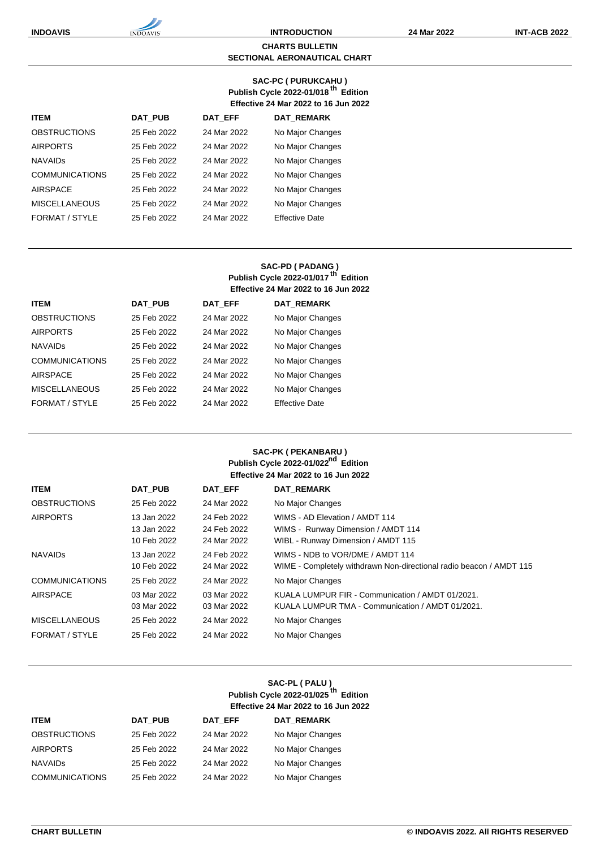#### **CHARTS BULLETIN SECTIONAL AERONAUTICAL CHART**

### **SAC-PC ( PURUKCAHU ) Publish Cycle 2022-01/018 th Edition Effective 24 Mar 2022 to 16 Jun 2022**

| <b>ITEM</b>           | <b>DAT PUB</b> | <b>DAT EFF</b> | <b>DAT REMARK</b>     |
|-----------------------|----------------|----------------|-----------------------|
| <b>OBSTRUCTIONS</b>   | 25 Feb 2022    | 24 Mar 2022    | No Major Changes      |
| <b>AIRPORTS</b>       | 25 Feb 2022    | 24 Mar 2022    | No Major Changes      |
| <b>NAVAIDS</b>        | 25 Feb 2022    | 24 Mar 2022    | No Major Changes      |
| <b>COMMUNICATIONS</b> | 25 Feb 2022    | 24 Mar 2022    | No Major Changes      |
| <b>AIRSPACE</b>       | 25 Feb 2022    | 24 Mar 2022    | No Major Changes      |
| <b>MISCELLANEOUS</b>  | 25 Feb 2022    | 24 Mar 2022    | No Major Changes      |
| FORMAT / STYLE        | 25 Feb 2022    | 24 Mar 2022    | <b>Effective Date</b> |

## **SAC-PD ( PADANG ) Publish Cycle 2022-01/017 th Edition Effective 24 Mar 2022 to 16 Jun 2022**

| <b>ITEM</b>           | DAT PUB     | DAT EFF     | <b>DAT REMARK</b>     |
|-----------------------|-------------|-------------|-----------------------|
| <b>OBSTRUCTIONS</b>   | 25 Feb 2022 | 24 Mar 2022 | No Major Changes      |
| <b>AIRPORTS</b>       | 25 Feb 2022 | 24 Mar 2022 | No Major Changes      |
| <b>NAVAIDS</b>        | 25 Feb 2022 | 24 Mar 2022 | No Major Changes      |
| <b>COMMUNICATIONS</b> | 25 Feb 2022 | 24 Mar 2022 | No Major Changes      |
| <b>AIRSPACE</b>       | 25 Feb 2022 | 24 Mar 2022 | No Major Changes      |
| <b>MISCELLANEOUS</b>  | 25 Feb 2022 | 24 Mar 2022 | No Major Changes      |
| FORMAT / STYLE        | 25 Feb 2022 | 24 Mar 2022 | <b>Effective Date</b> |

### **SAC-PK ( PEKANBARU ) Publish Cycle 2022-01/022nd Edition Effective 24 Mar 2022 to 16 Jun 2022**

| <b>ITEM</b>           | DAT PUB                                   | DAT EFF                                   | <b>DAT REMARK</b>                                                                                          |
|-----------------------|-------------------------------------------|-------------------------------------------|------------------------------------------------------------------------------------------------------------|
| <b>OBSTRUCTIONS</b>   | 25 Feb 2022                               | 24 Mar 2022                               | No Major Changes                                                                                           |
| <b>AIRPORTS</b>       | 13 Jan 2022<br>13 Jan 2022<br>10 Feb 2022 | 24 Feb 2022<br>24 Feb 2022<br>24 Mar 2022 | WIMS - AD Elevation / AMDT 114<br>WIMS - Runway Dimension / AMDT 114<br>WIBL - Runway Dimension / AMDT 115 |
| <b>NAVAIDS</b>        | 13 Jan 2022<br>10 Feb 2022                | 24 Feb 2022<br>24 Mar 2022                | WIMS - NDB to VOR/DME / AMDT 114<br>WIME - Completely withdrawn Non-directional radio beacon / AMDT 115    |
| <b>COMMUNICATIONS</b> | 25 Feb 2022                               | 24 Mar 2022                               | No Major Changes                                                                                           |
| AIRSPACE              | 03 Mar 2022<br>03 Mar 2022                | 03 Mar 2022<br>03 Mar 2022                | KUALA LUMPUR FIR - Communication / AMDT 01/2021.<br>KUALA LUMPUR TMA - Communication / AMDT 01/2021.       |
| <b>MISCELLANEOUS</b>  | 25 Feb 2022                               | 24 Mar 2022                               | No Major Changes                                                                                           |
| FORMAT / STYLE        | 25 Feb 2022                               | 24 Mar 2022                               | No Major Changes                                                                                           |

### **SAC-PL ( PALU ) Publish Cycle 2022-01/025 th Edition Effective 24 Mar 2022 to 16 Jun 2022**

| <b>ITEM</b>           | DAT PUB     | DAT EFF     | <b>DAT REMARK</b> |
|-----------------------|-------------|-------------|-------------------|
| <b>OBSTRUCTIONS</b>   | 25 Feb 2022 | 24 Mar 2022 | No Major Changes  |
| <b>AIRPORTS</b>       | 25 Feb 2022 | 24 Mar 2022 | No Major Changes  |
| <b>NAVAIDS</b>        | 25 Feb 2022 | 24 Mar 2022 | No Major Changes  |
| <b>COMMUNICATIONS</b> | 25 Feb 2022 | 24 Mar 2022 | No Major Changes  |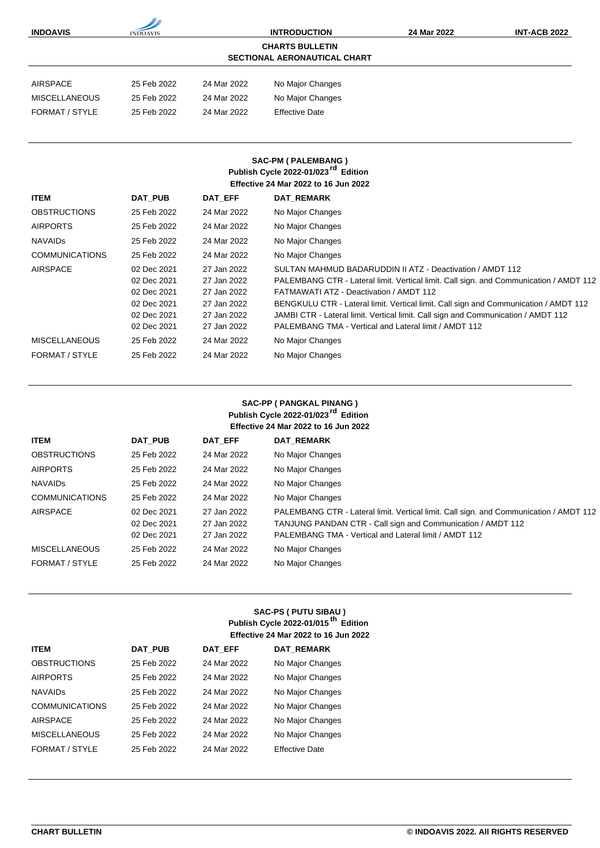| <b>INDOAVIS</b>       | <b>INDOAVIS</b>            |                            | <b>INTRODUCTION</b>                                                                                                                       | 24 Mar 2022                                                                            | <b>INT-ACB 2022</b> |
|-----------------------|----------------------------|----------------------------|-------------------------------------------------------------------------------------------------------------------------------------------|----------------------------------------------------------------------------------------|---------------------|
|                       |                            |                            | <b>CHARTS BULLETIN</b><br><b>SECTIONAL AERONAUTICAL CHART</b>                                                                             |                                                                                        |                     |
|                       |                            |                            |                                                                                                                                           |                                                                                        |                     |
| <b>AIRSPACE</b>       | 25 Feb 2022                | 24 Mar 2022                | No Major Changes                                                                                                                          |                                                                                        |                     |
| <b>MISCELLANEOUS</b>  | 25 Feb 2022                | 24 Mar 2022                | No Major Changes                                                                                                                          |                                                                                        |                     |
| FORMAT / STYLE        | 25 Feb 2022                | 24 Mar 2022                | <b>Effective Date</b>                                                                                                                     |                                                                                        |                     |
| <b>ITEM</b>           | <b>DAT PUB</b>             | DAT EFF                    | <b>SAC-PM (PALEMBANG)</b><br>Publish Cycle 2022-01/023 <sup>rd</sup> Edition<br><b>Effective 24 Mar 2022 to 16 Jun 2022</b><br>DAT_REMARK |                                                                                        |                     |
|                       |                            |                            |                                                                                                                                           |                                                                                        |                     |
| <b>OBSTRUCTIONS</b>   | 25 Feb 2022                | 24 Mar 2022                | No Major Changes                                                                                                                          |                                                                                        |                     |
| <b>AIRPORTS</b>       | 25 Feb 2022                | 24 Mar 2022                | No Major Changes                                                                                                                          |                                                                                        |                     |
| <b>NAVAIDS</b>        | 25 Feb 2022                | 24 Mar 2022                | No Major Changes                                                                                                                          |                                                                                        |                     |
| <b>COMMUNICATIONS</b> | 25 Feb 2022                | 24 Mar 2022                | No Major Changes                                                                                                                          |                                                                                        |                     |
| <b>AIRSPACE</b>       | 02 Dec 2021                | 27 Jan 2022                |                                                                                                                                           | SULTAN MAHMUD BADARUDDIN II ATZ - Deactivation / AMDT 112                              |                     |
|                       | 02 Dec 2021<br>02 Dec 2021 | 27 Jan 2022<br>27 Jan 2022 | FATMAWATI ATZ - Deactivation / AMDT 112                                                                                                   | PALEMBANG CTR - Lateral limit. Vertical limit. Call sign. and Communication / AMDT 112 |                     |
|                       | 02 Dec 2021                | 27 Jan 2022                |                                                                                                                                           | BENGKULU CTR - Lateral limit. Vertical limit. Call sign and Communication / AMDT 112   |                     |
|                       | 02 Dec 2021                | 27 Jan 2022                |                                                                                                                                           | JAMBI CTR - Lateral limit. Vertical limit. Call sign and Communication / AMDT 112      |                     |
|                       | 02 Dec 2021                | 27 Jan 2022                |                                                                                                                                           | PALEMBANG TMA - Vertical and Lateral limit / AMDT 112                                  |                     |

| <b>SAC-PP (PANGKAL PINANG)</b>                  |
|-------------------------------------------------|
| Publish Cycle 2022-01/023 <sup>rd</sup> Edition |
| <b>Effective 24 Mar 2022 to 16 Jun 2022</b>     |

| <b>ITEM</b>           | DAT PUB                                   | DAT EFF                                   | <b>DAT REMARK</b>                                                                                                                                                                                              |
|-----------------------|-------------------------------------------|-------------------------------------------|----------------------------------------------------------------------------------------------------------------------------------------------------------------------------------------------------------------|
| <b>OBSTRUCTIONS</b>   | 25 Feb 2022                               | 24 Mar 2022                               | No Major Changes                                                                                                                                                                                               |
| <b>AIRPORTS</b>       | 25 Feb 2022                               | 24 Mar 2022                               | No Major Changes                                                                                                                                                                                               |
| <b>NAVAIDS</b>        | 25 Feb 2022                               | 24 Mar 2022                               | No Major Changes                                                                                                                                                                                               |
| <b>COMMUNICATIONS</b> | 25 Feb 2022                               | 24 Mar 2022                               | No Major Changes                                                                                                                                                                                               |
| AIRSPACE              | 02 Dec 2021<br>02 Dec 2021<br>02 Dec 2021 | 27 Jan 2022<br>27 Jan 2022<br>27 Jan 2022 | PALEMBANG CTR - Lateral limit. Vertical limit. Call sign. and Communication / AMDT 112<br>TANJUNG PANDAN CTR - Call sign and Communication / AMDT 112<br>PALEMBANG TMA - Vertical and Lateral limit / AMDT 112 |
| <b>MISCELLANEOUS</b>  | 25 Feb 2022                               | 24 Mar 2022                               | No Major Changes                                                                                                                                                                                               |
| FORMAT / STYLE        | 25 Feb 2022                               | 24 Mar 2022                               | No Major Changes                                                                                                                                                                                               |
|                       |                                           |                                           |                                                                                                                                                                                                                |

|                       |                | SAC-PS ( PUTU SIBAU )<br>Publish Cycle 2022-01/015 <sup>th</sup> Edition<br><b>Effective 24 Mar 2022 to 16 Jun 2022</b> |                       |
|-----------------------|----------------|-------------------------------------------------------------------------------------------------------------------------|-----------------------|
| <b>ITEM</b>           | <b>DAT PUB</b> | <b>DAT EFF</b>                                                                                                          | <b>DAT REMARK</b>     |
| <b>OBSTRUCTIONS</b>   | 25 Feb 2022    | 24 Mar 2022                                                                                                             | No Major Changes      |
| <b>AIRPORTS</b>       | 25 Feb 2022    | 24 Mar 2022                                                                                                             | No Major Changes      |
| <b>NAVAIDS</b>        | 25 Feb 2022    | 24 Mar 2022                                                                                                             | No Major Changes      |
| <b>COMMUNICATIONS</b> | 25 Feb 2022    | 24 Mar 2022                                                                                                             | No Major Changes      |
| <b>AIRSPACE</b>       | 25 Feb 2022    | 24 Mar 2022                                                                                                             | No Major Changes      |
| <b>MISCELLANEOUS</b>  | 25 Feb 2022    | 24 Mar 2022                                                                                                             | No Major Changes      |
| FORMAT / STYLE        | 25 Feb 2022    | 24 Mar 2022                                                                                                             | <b>Effective Date</b> |

MISCELLANEOUS 25 Feb 2022 24 Mar 2022 No Major Changes FORMAT / STYLE 25 Feb 2022 24 Mar 2022 No Major Changes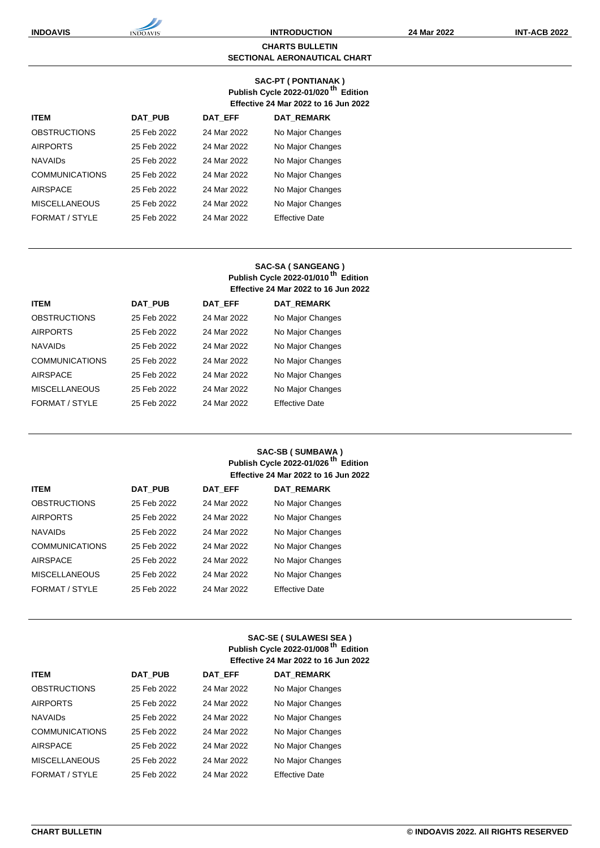#### **CHARTS BULLETIN SECTIONAL AERONAUTICAL CHART**

#### **SAC-PT ( PONTIANAK ) Publish Cycle 2022-01/020 th Edition Effective 24 Mar 2022 to 16 Jun 2022**

| <b>ITEM</b>           | <b>DAT PUB</b> | <b>DAT EFF</b> | <b>DAT REMARK</b>     |
|-----------------------|----------------|----------------|-----------------------|
| <b>OBSTRUCTIONS</b>   | 25 Feb 2022    | 24 Mar 2022    | No Major Changes      |
| <b>AIRPORTS</b>       | 25 Feb 2022    | 24 Mar 2022    | No Major Changes      |
| <b>NAVAIDS</b>        | 25 Feb 2022    | 24 Mar 2022    | No Major Changes      |
| <b>COMMUNICATIONS</b> | 25 Feb 2022    | 24 Mar 2022    | No Major Changes      |
| <b>AIRSPACE</b>       | 25 Feb 2022    | 24 Mar 2022    | No Major Changes      |
| <b>MISCELLANEOUS</b>  | 25 Feb 2022    | 24 Mar 2022    | No Major Changes      |
| FORMAT / STYLE        | 25 Feb 2022    | 24 Mar 2022    | <b>Effective Date</b> |

## **SAC-SA ( SANGEANG ) Publish Cycle 2022-01/010 th Edition Effective 24 Mar 2022 to 16 Jun 2022**

| <b>ITEM</b>           | DAT PUB     | DAT EFF     | <b>DAT REMARK</b>     |
|-----------------------|-------------|-------------|-----------------------|
| <b>OBSTRUCTIONS</b>   | 25 Feb 2022 | 24 Mar 2022 | No Major Changes      |
| <b>AIRPORTS</b>       | 25 Feb 2022 | 24 Mar 2022 | No Major Changes      |
| <b>NAVAIDS</b>        | 25 Feb 2022 | 24 Mar 2022 | No Major Changes      |
| <b>COMMUNICATIONS</b> | 25 Feb 2022 | 24 Mar 2022 | No Major Changes      |
| <b>AIRSPACE</b>       | 25 Feb 2022 | 24 Mar 2022 | No Major Changes      |
| <b>MISCELLANEOUS</b>  | 25 Feb 2022 | 24 Mar 2022 | No Major Changes      |
| FORMAT / STYLE        | 25 Feb 2022 | 24 Mar 2022 | <b>Effective Date</b> |

### **SAC-SB ( SUMBAWA ) Publish Cycle 2022-01/026 th Edition Effective 24 Mar 2022 to 16 Jun 2022**

| <b>ITEM</b>           | <b>DAT PUB</b> | <b>DAT EFF</b> | <b>DAT REMARK</b>     |
|-----------------------|----------------|----------------|-----------------------|
| <b>OBSTRUCTIONS</b>   | 25 Feb 2022    | 24 Mar 2022    | No Major Changes      |
| <b>AIRPORTS</b>       | 25 Feb 2022    | 24 Mar 2022    | No Major Changes      |
| <b>NAVAIDS</b>        | 25 Feb 2022    | 24 Mar 2022    | No Major Changes      |
| <b>COMMUNICATIONS</b> | 25 Feb 2022    | 24 Mar 2022    | No Major Changes      |
| <b>AIRSPACE</b>       | 25 Feb 2022    | 24 Mar 2022    | No Major Changes      |
| <b>MISCELLANEOUS</b>  | 25 Feb 2022    | 24 Mar 2022    | No Major Changes      |
| FORMAT / STYLE        | 25 Feb 2022    | 24 Mar 2022    | <b>Effective Date</b> |

## **SAC-SE ( SULAWESI SEA ) Publish Cycle 2022-01/008 th Edition Effective 24 Mar 2022 to 16 Jun 2022**

| <b>ITEM</b>           | <b>DAT PUB</b> | <b>DAT EFF</b> | <b>DAT REMARK</b>     |
|-----------------------|----------------|----------------|-----------------------|
| <b>OBSTRUCTIONS</b>   | 25 Feb 2022    | 24 Mar 2022    | No Major Changes      |
| <b>AIRPORTS</b>       | 25 Feb 2022    | 24 Mar 2022    | No Major Changes      |
| <b>NAVAIDS</b>        | 25 Feb 2022    | 24 Mar 2022    | No Major Changes      |
| <b>COMMUNICATIONS</b> | 25 Feb 2022    | 24 Mar 2022    | No Major Changes      |
| <b>AIRSPACE</b>       | 25 Feb 2022    | 24 Mar 2022    | No Major Changes      |
| <b>MISCELLANEOUS</b>  | 25 Feb 2022    | 24 Mar 2022    | No Major Changes      |
| FORMAT / STYLE        | 25 Feb 2022    | 24 Mar 2022    | <b>Effective Date</b> |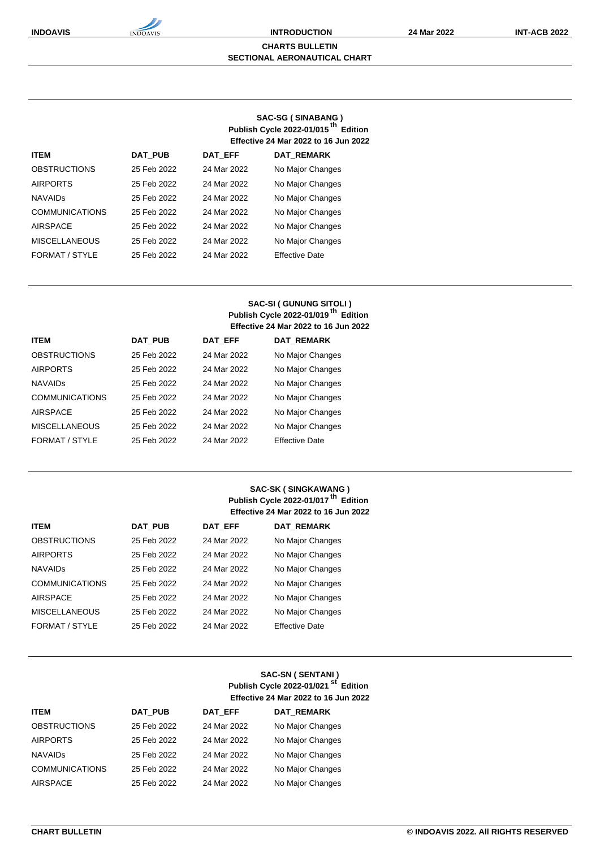#### **CHARTS BULLETIN SECTIONAL AERONAUTICAL CHART**

## **SAC-SG ( SINABANG ) Publish Cycle 2022-01/015 th Edition Effective 24 Mar 2022 to 16 Jun 2022**

| <b>ITEM</b>           | <b>DAT PUB</b> | <b>DAT EFF</b> | <b>DAT REMARK</b>     |
|-----------------------|----------------|----------------|-----------------------|
| <b>OBSTRUCTIONS</b>   | 25 Feb 2022    | 24 Mar 2022    | No Major Changes      |
| <b>AIRPORTS</b>       | 25 Feb 2022    | 24 Mar 2022    | No Major Changes      |
| <b>NAVAIDS</b>        | 25 Feb 2022    | 24 Mar 2022    | No Major Changes      |
| <b>COMMUNICATIONS</b> | 25 Feb 2022    | 24 Mar 2022    | No Major Changes      |
| <b>AIRSPACE</b>       | 25 Feb 2022    | 24 Mar 2022    | No Major Changes      |
| <b>MISCELLANEOUS</b>  | 25 Feb 2022    | 24 Mar 2022    | No Major Changes      |
| FORMAT / STYLE        | 25 Feb 2022    | 24 Mar 2022    | <b>Effective Date</b> |

## **SAC-SI ( GUNUNG SITOLI ) Publish Cycle 2022-01/019 th Edition Effective 24 Mar 2022 to 16 Jun 2022**

| <b>ITEM</b>           | <b>DAT PUB</b> | DAT EFF     | <b>DAT REMARK</b>     |
|-----------------------|----------------|-------------|-----------------------|
| <b>OBSTRUCTIONS</b>   | 25 Feb 2022    | 24 Mar 2022 | No Major Changes      |
| <b>AIRPORTS</b>       | 25 Feb 2022    | 24 Mar 2022 | No Major Changes      |
| <b>NAVAIDS</b>        | 25 Feb 2022    | 24 Mar 2022 | No Major Changes      |
| <b>COMMUNICATIONS</b> | 25 Feb 2022    | 24 Mar 2022 | No Major Changes      |
| <b>AIRSPACE</b>       | 25 Feb 2022    | 24 Mar 2022 | No Major Changes      |
| <b>MISCELLANEOUS</b>  | 25 Feb 2022    | 24 Mar 2022 | No Major Changes      |
| FORMAT / STYLE        | 25 Feb 2022    | 24 Mar 2022 | <b>Effective Date</b> |

### **SAC-SK ( SINGKAWANG ) Publish Cycle 2022-01/017 th Edition Effective 24 Mar 2022 to 16 Jun 2022**

| <b>ITEM</b>           | DAT PUB     | <b>DAT EFF</b> | <b>DAT REMARK</b>     |
|-----------------------|-------------|----------------|-----------------------|
| <b>OBSTRUCTIONS</b>   | 25 Feb 2022 | 24 Mar 2022    | No Major Changes      |
| <b>AIRPORTS</b>       | 25 Feb 2022 | 24 Mar 2022    | No Major Changes      |
| <b>NAVAIDS</b>        | 25 Feb 2022 | 24 Mar 2022    | No Major Changes      |
| <b>COMMUNICATIONS</b> | 25 Feb 2022 | 24 Mar 2022    | No Major Changes      |
| <b>AIRSPACE</b>       | 25 Feb 2022 | 24 Mar 2022    | No Major Changes      |
| <b>MISCELLANEOUS</b>  | 25 Feb 2022 | 24 Mar 2022    | No Major Changes      |
| FORMAT / STYLE        | 25 Feb 2022 | 24 Mar 2022    | <b>Effective Date</b> |
|                       |             |                |                       |

## **SAC-SN ( SENTANI ) Publish Cycle 2022-01/021 st Edition Effective 24 Mar 2022 to 16 Jun 2022**

| <b>ITEM</b>           | <b>DAT PUB</b> | <b>DAT EFF</b> | <b>DAT REMARK</b> |
|-----------------------|----------------|----------------|-------------------|
| <b>OBSTRUCTIONS</b>   | 25 Feb 2022    | 24 Mar 2022    | No Major Changes  |
| <b>AIRPORTS</b>       | 25 Feb 2022    | 24 Mar 2022    | No Major Changes  |
| <b>NAVAIDS</b>        | 25 Feb 2022    | 24 Mar 2022    | No Major Changes  |
| <b>COMMUNICATIONS</b> | 25 Feb 2022    | 24 Mar 2022    | No Major Changes  |
| <b>AIRSPACE</b>       | 25 Feb 2022    | 24 Mar 2022    | No Major Changes  |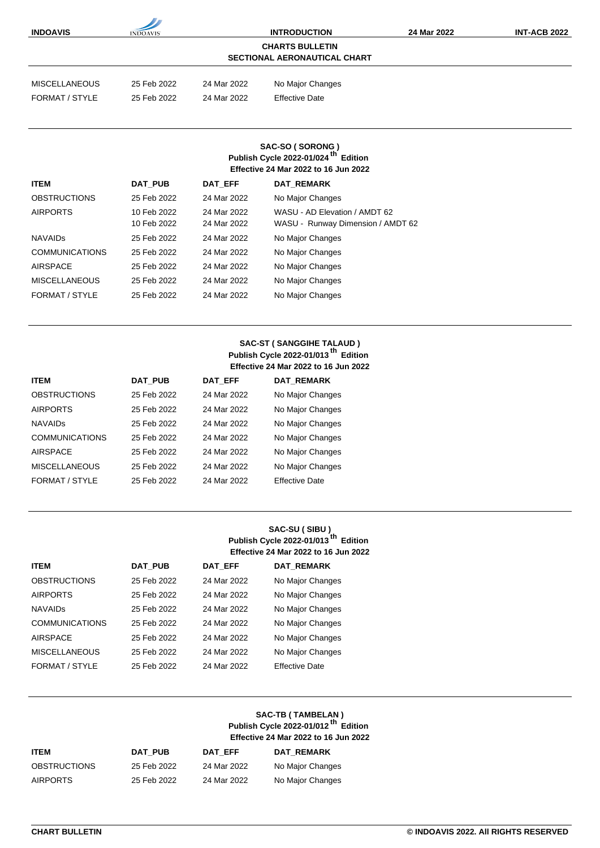| <b>INDOAVIS</b>                                               | <b>INDOAVIS</b> | <b>INTRODUCTION</b> |                       | 24 Mar 2022 | <b>INT-ACB 2022</b> |  |
|---------------------------------------------------------------|-----------------|---------------------|-----------------------|-------------|---------------------|--|
| <b>CHARTS BULLETIN</b><br><b>SECTIONAL AERONAUTICAL CHART</b> |                 |                     |                       |             |                     |  |
| <b>MISCELLANEOUS</b>                                          | 25 Feb 2022     | 24 Mar 2022         | No Major Changes      |             |                     |  |
| FORMAT / STYLE                                                | 25 Feb 2022     | 24 Mar 2022         | <b>Effective Date</b> |             |                     |  |
|                                                               |                 |                     |                       |             |                     |  |

### **SAC-SO ( SORONG ) Publish Cycle 2022-01/024 th Edition Effective 24 Mar 2022 to 16 Jun 2022**

| <b>ITEM</b>           | DAT PUB                    | <b>DAT EFF</b>             | <b>DAT REMARK</b>                                                  |
|-----------------------|----------------------------|----------------------------|--------------------------------------------------------------------|
| <b>OBSTRUCTIONS</b>   | 25 Feb 2022                | 24 Mar 2022                | No Major Changes                                                   |
| <b>AIRPORTS</b>       | 10 Feb 2022<br>10 Feb 2022 | 24 Mar 2022<br>24 Mar 2022 | WASU - AD Elevation / AMDT 62<br>WASU - Runway Dimension / AMDT 62 |
| <b>NAVAIDS</b>        | 25 Feb 2022                | 24 Mar 2022                | No Major Changes                                                   |
| <b>COMMUNICATIONS</b> | 25 Feb 2022                | 24 Mar 2022                | No Major Changes                                                   |
| <b>AIRSPACE</b>       | 25 Feb 2022                | 24 Mar 2022                | No Major Changes                                                   |
| <b>MISCELLANEOUS</b>  | 25 Feb 2022                | 24 Mar 2022                | No Major Changes                                                   |
| FORMAT / STYLE        | 25 Feb 2022                | 24 Mar 2022                | No Major Changes                                                   |

## **SAC-ST ( SANGGIHE TALAUD ) Publish Cycle 2022-01/013 th Edition Effective 24 Mar 2022 to 16 Jun 2022**

| <b>ITEM</b>           | <b>DAT PUB</b> | <b>DAT EFF</b> | <b>DAT REMARK</b>     |
|-----------------------|----------------|----------------|-----------------------|
| <b>OBSTRUCTIONS</b>   | 25 Feb 2022    | 24 Mar 2022    | No Major Changes      |
| <b>AIRPORTS</b>       | 25 Feb 2022    | 24 Mar 2022    | No Major Changes      |
| <b>NAVAIDS</b>        | 25 Feb 2022    | 24 Mar 2022    | No Major Changes      |
| <b>COMMUNICATIONS</b> | 25 Feb 2022    | 24 Mar 2022    | No Major Changes      |
| <b>AIRSPACE</b>       | 25 Feb 2022    | 24 Mar 2022    | No Major Changes      |
| <b>MISCELLANEOUS</b>  | 25 Feb 2022    | 24 Mar 2022    | No Major Changes      |
| FORMAT / STYLE        | 25 Feb 2022    | 24 Mar 2022    | <b>Effective Date</b> |

## **SAC-SU ( SIBU ) Publish Cycle 2022-01/013 th Edition Effective 24 Mar 2022 to 16 Jun 2022**

| <b>ITEM</b>           | <b>DAT PUB</b> | DAT EFF     | <b>DAT REMARK</b>     |
|-----------------------|----------------|-------------|-----------------------|
| <b>OBSTRUCTIONS</b>   | 25 Feb 2022    | 24 Mar 2022 | No Major Changes      |
| <b>AIRPORTS</b>       | 25 Feb 2022    | 24 Mar 2022 | No Major Changes      |
| <b>NAVAIDS</b>        | 25 Feb 2022    | 24 Mar 2022 | No Major Changes      |
| <b>COMMUNICATIONS</b> | 25 Feb 2022    | 24 Mar 2022 | No Major Changes      |
| <b>AIRSPACE</b>       | 25 Feb 2022    | 24 Mar 2022 | No Major Changes      |
| <b>MISCELLANEOUS</b>  | 25 Feb 2022    | 24 Mar 2022 | No Major Changes      |
| FORMAT / STYLE        | 25 Feb 2022    | 24 Mar 2022 | <b>Effective Date</b> |

### **SAC-TB ( TAMBELAN ) Publish Cycle 2022-01/012 th Edition Effective 24 Mar 2022 to 16 Jun 2022**

| <b>ITEM</b>         | DAT PUB     | DAT EFF     | <b>DAT REMARK</b> |
|---------------------|-------------|-------------|-------------------|
| <b>OBSTRUCTIONS</b> | 25 Feb 2022 | 24 Mar 2022 | No Major Changes  |
| <b>AIRPORTS</b>     | 25 Feb 2022 | 24 Mar 2022 | No Major Changes  |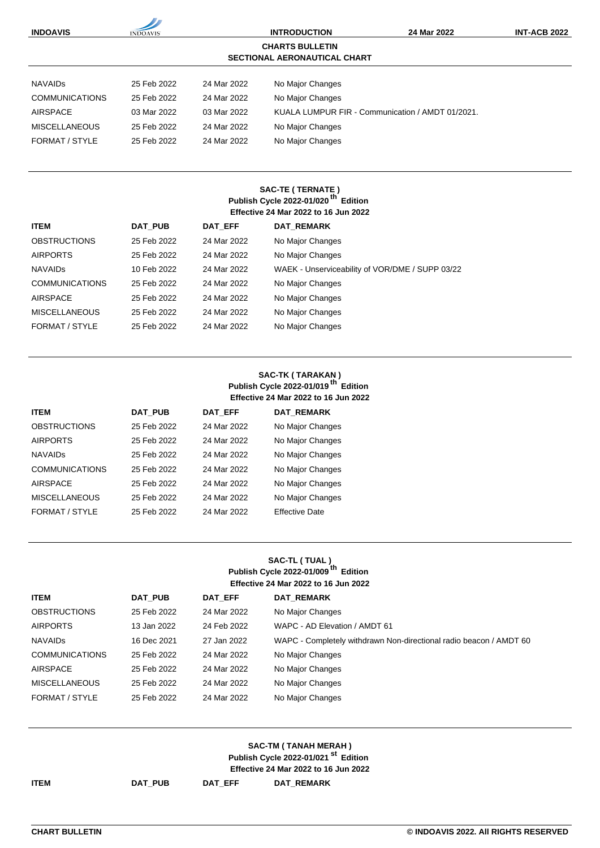| <b>INDOAVIS</b>       | <b>INDOAVIS</b> |             | <b>INTRODUCTION</b>                              | 24 Mar 2022 | <b>INT-ACB 2022</b> |
|-----------------------|-----------------|-------------|--------------------------------------------------|-------------|---------------------|
|                       |                 |             | <b>CHARTS BULLETIN</b>                           |             |                     |
|                       |                 |             | <b>SECTIONAL AERONAUTICAL CHART</b>              |             |                     |
| <b>NAVAIDS</b>        | 25 Feb 2022     | 24 Mar 2022 | No Major Changes                                 |             |                     |
| <b>COMMUNICATIONS</b> | 25 Feb 2022     | 24 Mar 2022 | No Major Changes                                 |             |                     |
| <b>AIRSPACE</b>       | 03 Mar 2022     | 03 Mar 2022 | KUALA LUMPUR FIR - Communication / AMDT 01/2021. |             |                     |
| <b>MISCELLANEOUS</b>  | 25 Feb 2022     | 24 Mar 2022 | No Major Changes                                 |             |                     |
| <b>FORMAT / STYLE</b> | 25 Feb 2022     | 24 Mar 2022 | No Major Changes                                 |             |                     |
|                       |                 |             |                                                  |             |                     |
|                       |                 |             | <b>SAC-TE (TERNATE)</b>                          |             |                     |
|                       |                 |             | Publish Cycle 2022-01/020 <sup>th</sup> Edition  |             |                     |
|                       |                 |             | <b>Effective 24 Mar 2022 to 16 Jun 2022</b>      |             |                     |
| <b>ITEM</b>           | <b>DAT PUB</b>  | DAT_EFF     | DAT_REMARK                                       |             |                     |
| <b>OBSTRUCTIONS</b>   | 25 Feb 2022     | 24 Mar 2022 | No Major Changes                                 |             |                     |
| <b>AIRPORTS</b>       | 25 Feb 2022     | 24 Mar 2022 | No Major Changes                                 |             |                     |
| <b>NAVAIDS</b>        | 10 Feb 2022     | 24 Mar 2022 | WAEK - Unserviceability of VOR/DME / SUPP 03/22  |             |                     |
| <b>COMMUNICATIONS</b> | 25 Feb 2022     | 24 Mar 2022 | No Major Changes                                 |             |                     |
| <b>AIRSPACE</b>       | 25 Feb 2022     | 24 Mar 2022 | No Major Changes                                 |             |                     |
| <b>MISCELLANEOUS</b>  | 25 Feb 2022     | 24 Mar 2022 | No Major Changes                                 |             |                     |

#### FORMAT / STYLE 25 Feb 2022 24 Mar 2022 No Major Changes

## **SAC-TK ( TARAKAN ) Publish Cycle 2022-01/019 th Edition Effective 24 Mar 2022 to 16 Jun 2022**

| <b>ITEM</b>           | <b>DAT PUB</b> | DAT EFF     | <b>DAT REMARK</b>     |
|-----------------------|----------------|-------------|-----------------------|
| <b>OBSTRUCTIONS</b>   | 25 Feb 2022    | 24 Mar 2022 | No Major Changes      |
| <b>AIRPORTS</b>       | 25 Feb 2022    | 24 Mar 2022 | No Major Changes      |
| <b>NAVAIDS</b>        | 25 Feb 2022    | 24 Mar 2022 | No Major Changes      |
| <b>COMMUNICATIONS</b> | 25 Feb 2022    | 24 Mar 2022 | No Major Changes      |
| <b>AIRSPACE</b>       | 25 Feb 2022    | 24 Mar 2022 | No Major Changes      |
| <b>MISCELLANEOUS</b>  | 25 Feb 2022    | 24 Mar 2022 | No Major Changes      |
| FORMAT / STYLE        | 25 Feb 2022    | 24 Mar 2022 | <b>Effective Date</b> |

## **SAC-TL ( TUAL ) Publish Cycle 2022-01/009 th Edition Effective 24 Mar 2022 to 16 Jun 2022**

| <b>ITEM</b>           | DAT PUB     | DAT EFF     | <b>DAT REMARK</b>                                                  |
|-----------------------|-------------|-------------|--------------------------------------------------------------------|
| <b>OBSTRUCTIONS</b>   | 25 Feb 2022 | 24 Mar 2022 | No Major Changes                                                   |
| <b>AIRPORTS</b>       | 13 Jan 2022 | 24 Feb 2022 | WAPC - AD Elevation / AMDT 61                                      |
| <b>NAVAIDS</b>        | 16 Dec 2021 | 27 Jan 2022 | WAPC - Completely withdrawn Non-directional radio beacon / AMDT 60 |
| <b>COMMUNICATIONS</b> | 25 Feb 2022 | 24 Mar 2022 | No Major Changes                                                   |
| <b>AIRSPACE</b>       | 25 Feb 2022 | 24 Mar 2022 | No Major Changes                                                   |
| <b>MISCELLANEOUS</b>  | 25 Feb 2022 | 24 Mar 2022 | No Major Changes                                                   |
| FORMAT / STYLE        | 25 Feb 2022 | 24 Mar 2022 | No Major Changes                                                   |

#### **SAC-TM ( TANAH MERAH ) Publish Cycle 2022-01/021 st Edition Effective 24 Mar 2022 to 16 Jun 2022**

 $\mathsf{DAT}\_\mathsf{PUB}$  **DAT\_EFF DAT\_REMARK**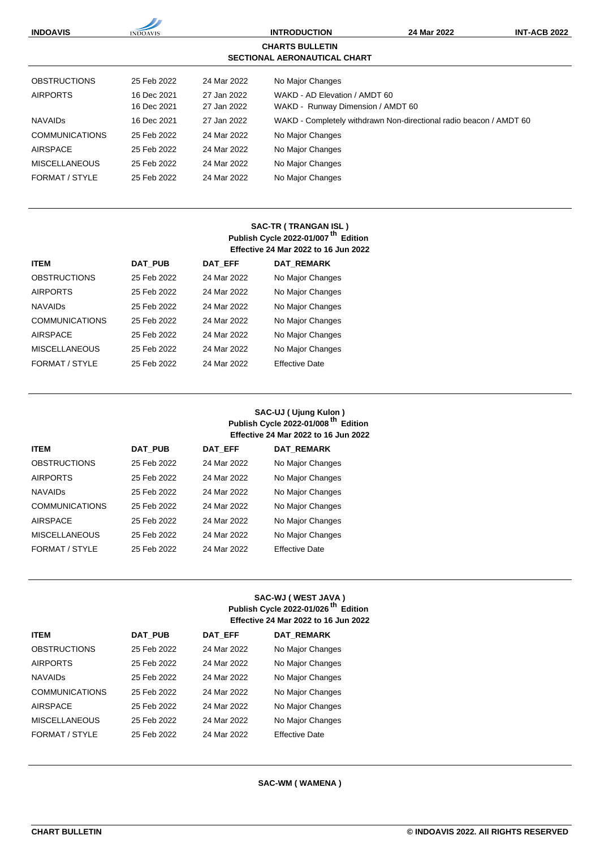

## **SAC-TR ( TRANGAN ISL ) Publish Cycle 2022-01/007 th Edition Effective 24 Mar 2022 to 16 Jun 2022**

| <b>ITEM</b>           | <b>DAT PUB</b> | DAT EFF     | <b>DAT REMARK</b>     |
|-----------------------|----------------|-------------|-----------------------|
| <b>OBSTRUCTIONS</b>   | 25 Feb 2022    | 24 Mar 2022 | No Major Changes      |
| <b>AIRPORTS</b>       | 25 Feb 2022    | 24 Mar 2022 | No Major Changes      |
| <b>NAVAIDS</b>        | 25 Feb 2022    | 24 Mar 2022 | No Major Changes      |
| <b>COMMUNICATIONS</b> | 25 Feb 2022    | 24 Mar 2022 | No Major Changes      |
| <b>AIRSPACE</b>       | 25 Feb 2022    | 24 Mar 2022 | No Major Changes      |
| <b>MISCELLANEOUS</b>  | 25 Feb 2022    | 24 Mar 2022 | No Major Changes      |
| FORMAT / STYLE        | 25 Feb 2022    | 24 Mar 2022 | <b>Effective Date</b> |

## **SAC-UJ ( Ujung Kulon ) Publish Cycle 2022-01/008 th Edition Effective 24 Mar 2022 to 16 Jun 2022**

| <b>ITEM</b>           | DAT PUB     | <b>DAT EFF</b> | <b>DAT REMARK</b>     |
|-----------------------|-------------|----------------|-----------------------|
| <b>OBSTRUCTIONS</b>   | 25 Feb 2022 | 24 Mar 2022    | No Major Changes      |
| <b>AIRPORTS</b>       | 25 Feb 2022 | 24 Mar 2022    | No Major Changes      |
| <b>NAVAIDS</b>        | 25 Feb 2022 | 24 Mar 2022    | No Major Changes      |
| <b>COMMUNICATIONS</b> | 25 Feb 2022 | 24 Mar 2022    | No Major Changes      |
| <b>AIRSPACE</b>       | 25 Feb 2022 | 24 Mar 2022    | No Major Changes      |
| <b>MISCELLANEOUS</b>  | 25 Feb 2022 | 24 Mar 2022    | No Major Changes      |
| FORMAT / STYLE        | 25 Feb 2022 | 24 Mar 2022    | <b>Effective Date</b> |

#### **SAC-WJ ( WEST JAVA ) Publish Cycle 2022-01/026 th Edition Effective 24 Mar 2022 to 16 Jun 2022**

| <b>ITEM</b>           | DAT PUB     | DAT EFF     | DAT_REMARK            |
|-----------------------|-------------|-------------|-----------------------|
| <b>OBSTRUCTIONS</b>   | 25 Feb 2022 | 24 Mar 2022 | No Major Changes      |
| <b>AIRPORTS</b>       | 25 Feb 2022 | 24 Mar 2022 | No Major Changes      |
| <b>NAVAIDS</b>        | 25 Feb 2022 | 24 Mar 2022 | No Major Changes      |
| <b>COMMUNICATIONS</b> | 25 Feb 2022 | 24 Mar 2022 | No Major Changes      |
| <b>AIRSPACE</b>       | 25 Feb 2022 | 24 Mar 2022 | No Major Changes      |
| <b>MISCELLANEOUS</b>  | 25 Feb 2022 | 24 Mar 2022 | No Major Changes      |
| FORMAT / STYLE        | 25 Feb 2022 | 24 Mar 2022 | <b>Effective Date</b> |

#### **SAC-WM ( WAMENA )**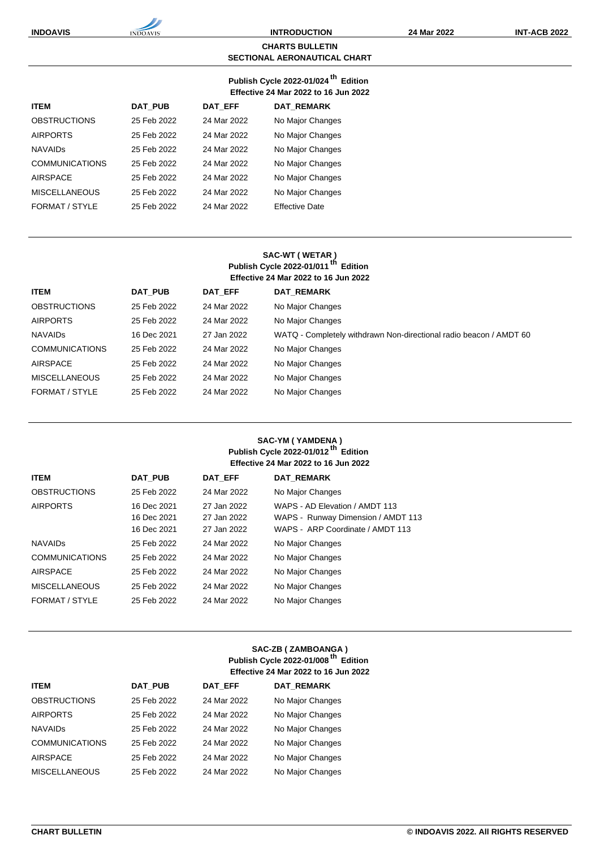#### **CHARTS BULLETIN SECTIONAL AERONAUTICAL CHART**

#### **Publish Cycle 2022-01/024 th Edition Effective 24 Mar 2022 to 16 Jun 2022**

| <b>ITEM</b>           | <b>DAT PUB</b> | DAT EFF     | <b>DAT REMARK</b>     |
|-----------------------|----------------|-------------|-----------------------|
| <b>OBSTRUCTIONS</b>   | 25 Feb 2022    | 24 Mar 2022 | No Major Changes      |
| <b>AIRPORTS</b>       | 25 Feb 2022    | 24 Mar 2022 | No Major Changes      |
| <b>NAVAIDS</b>        | 25 Feb 2022    | 24 Mar 2022 | No Major Changes      |
| <b>COMMUNICATIONS</b> | 25 Feb 2022    | 24 Mar 2022 | No Major Changes      |
| <b>AIRSPACE</b>       | 25 Feb 2022    | 24 Mar 2022 | No Major Changes      |
| <b>MISCELLANEOUS</b>  | 25 Feb 2022    | 24 Mar 2022 | No Major Changes      |
| FORMAT / STYLE        | 25 Feb 2022    | 24 Mar 2022 | <b>Effective Date</b> |

### **SAC-WT ( WETAR ) Publish Cycle 2022-01/011 th Edition Effective 24 Mar 2022 to 16 Jun 2022**

| <b>ITEM</b>           | DAT PUB     | DAT EFF     | <b>DAT REMARK</b>                                                  |
|-----------------------|-------------|-------------|--------------------------------------------------------------------|
| <b>OBSTRUCTIONS</b>   | 25 Feb 2022 | 24 Mar 2022 | No Major Changes                                                   |
| <b>AIRPORTS</b>       | 25 Feb 2022 | 24 Mar 2022 | No Major Changes                                                   |
| <b>NAVAIDS</b>        | 16 Dec 2021 | 27 Jan 2022 | WATQ - Completely withdrawn Non-directional radio beacon / AMDT 60 |
| <b>COMMUNICATIONS</b> | 25 Feb 2022 | 24 Mar 2022 | No Major Changes                                                   |
| <b>AIRSPACE</b>       | 25 Feb 2022 | 24 Mar 2022 | No Major Changes                                                   |
| <b>MISCELLANEOUS</b>  | 25 Feb 2022 | 24 Mar 2022 | No Major Changes                                                   |
| FORMAT / STYLE        | 25 Feb 2022 | 24 Mar 2022 | No Major Changes                                                   |

## **SAC-YM ( YAMDENA ) Publish Cycle 2022-01/012 th Edition Effective 24 Mar 2022 to 16 Jun 2022**

| <b>ITEM</b>           | <b>DAT PUB</b>                            | <b>DAT EFF</b>                            | <b>DAT REMARK</b>                                                                                        |
|-----------------------|-------------------------------------------|-------------------------------------------|----------------------------------------------------------------------------------------------------------|
| <b>OBSTRUCTIONS</b>   | 25 Feb 2022                               | 24 Mar 2022                               | No Major Changes                                                                                         |
| <b>AIRPORTS</b>       | 16 Dec 2021<br>16 Dec 2021<br>16 Dec 2021 | 27 Jan 2022<br>27 Jan 2022<br>27 Jan 2022 | WAPS - AD Elevation / AMDT 113<br>WAPS - Runway Dimension / AMDT 113<br>WAPS - ARP Coordinate / AMDT 113 |
| <b>NAVAIDS</b>        | 25 Feb 2022                               | 24 Mar 2022                               | No Major Changes                                                                                         |
| <b>COMMUNICATIONS</b> | 25 Feb 2022                               | 24 Mar 2022                               | No Major Changes                                                                                         |
| <b>AIRSPACE</b>       | 25 Feb 2022                               | 24 Mar 2022                               | No Major Changes                                                                                         |
| <b>MISCELLANEOUS</b>  | 25 Feb 2022                               | 24 Mar 2022                               | No Major Changes                                                                                         |
| FORMAT / STYLE        | 25 Feb 2022                               | 24 Mar 2022                               | No Major Changes                                                                                         |

## **SAC-ZB ( ZAMBOANGA ) Publish Cycle 2022-01/008 th Edition Effective 24 Mar 2022 to 16 Jun 2022**

| <b>ITEM</b>           | <b>DAT PUB</b> | <b>DAT EFF</b> | <b>DAT REMARK</b> |
|-----------------------|----------------|----------------|-------------------|
| <b>OBSTRUCTIONS</b>   | 25 Feb 2022    | 24 Mar 2022    | No Major Changes  |
| <b>AIRPORTS</b>       | 25 Feb 2022    | 24 Mar 2022    | No Major Changes  |
| <b>NAVAIDS</b>        | 25 Feb 2022    | 24 Mar 2022    | No Major Changes  |
| <b>COMMUNICATIONS</b> | 25 Feb 2022    | 24 Mar 2022    | No Major Changes  |
| <b>AIRSPACE</b>       | 25 Feb 2022    | 24 Mar 2022    | No Major Changes  |
| <b>MISCELLANEOUS</b>  | 25 Feb 2022    | 24 Mar 2022    | No Major Changes  |